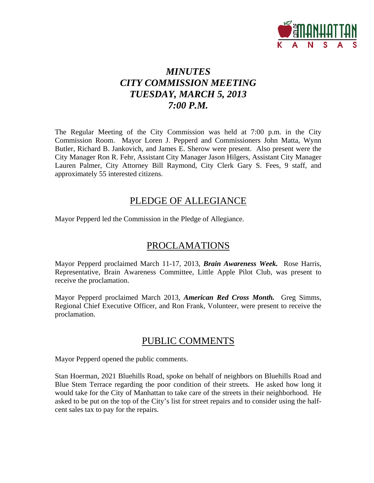

# *MINUTES CITY COMMISSION MEETING TUESDAY, MARCH 5, 2013 7:00 P.M.*

The Regular Meeting of the City Commission was held at 7:00 p.m. in the City Commission Room. Mayor Loren J. Pepperd and Commissioners John Matta, Wynn Butler, Richard B. Jankovich, and James E. Sherow were present. Also present were the City Manager Ron R. Fehr, Assistant City Manager Jason Hilgers, Assistant City Manager Lauren Palmer, City Attorney Bill Raymond, City Clerk Gary S. Fees, 9 staff, and approximately 55 interested citizens.

## PLEDGE OF ALLEGIANCE

Mayor Pepperd led the Commission in the Pledge of Allegiance.

# PROCLAMATIONS

Mayor Pepperd proclaimed March 11-17, 2013, *Brain Awareness Week.* Rose Harris, Representative, Brain Awareness Committee, Little Apple Pilot Club, was present to receive the proclamation.

Mayor Pepperd proclaimed March 2013, *American Red Cross Month.* Greg Simms, Regional Chief Executive Officer, and Ron Frank, Volunteer, were present to receive the proclamation.

# PUBLIC COMMENTS

Mayor Pepperd opened the public comments.

Stan Hoerman, 2021 Bluehills Road, spoke on behalf of neighbors on Bluehills Road and Blue Stem Terrace regarding the poor condition of their streets. He asked how long it would take for the City of Manhattan to take care of the streets in their neighborhood. He asked to be put on the top of the City's list for street repairs and to consider using the halfcent sales tax to pay for the repairs.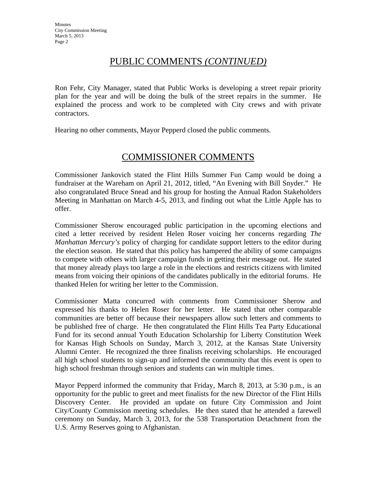# PUBLIC COMMENTS *(CONTINUED)*

Ron Fehr, City Manager, stated that Public Works is developing a street repair priority plan for the year and will be doing the bulk of the street repairs in the summer. He explained the process and work to be completed with City crews and with private contractors.

Hearing no other comments, Mayor Pepperd closed the public comments.

# COMMISSIONER COMMENTS

Commissioner Jankovich stated the Flint Hills Summer Fun Camp would be doing a fundraiser at the Wareham on April 21, 2012, titled, "An Evening with Bill Snyder." He also congratulated Bruce Snead and his group for hosting the Annual Radon Stakeholders Meeting in Manhattan on March 4-5, 2013, and finding out what the Little Apple has to offer.

Commissioner Sherow encouraged public participation in the upcoming elections and cited a letter received by resident Helen Roser voicing her concerns regarding *The Manhattan Mercury's* policy of charging for candidate support letters to the editor during the election season. He stated that this policy has hampered the ability of some campaigns to compete with others with larger campaign funds in getting their message out. He stated that money already plays too large a role in the elections and restricts citizens with limited means from voicing their opinions of the candidates publically in the editorial forums. He thanked Helen for writing her letter to the Commission.

Commissioner Matta concurred with comments from Commissioner Sherow and expressed his thanks to Helen Roser for her letter. He stated that other comparable communities are better off because their newspapers allow such letters and comments to be published free of charge. He then congratulated the Flint Hills Tea Party Educational Fund for its second annual Youth Education Scholarship for Liberty Constitution Week for Kansas High Schools on Sunday, March 3, 2012, at the Kansas State University Alumni Center. He recognized the three finalists receiving scholarships. He encouraged all high school students to sign-up and informed the community that this event is open to high school freshman through seniors and students can win multiple times.

Mayor Pepperd informed the community that Friday, March 8, 2013, at 5:30 p.m., is an opportunity for the public to greet and meet finalists for the new Director of the Flint Hills Discovery Center. He provided an update on future City Commission and Joint City/County Commission meeting schedules. He then stated that he attended a farewell ceremony on Sunday, March 3, 2013, for the 538 Transportation Detachment from the U.S. Army Reserves going to Afghanistan.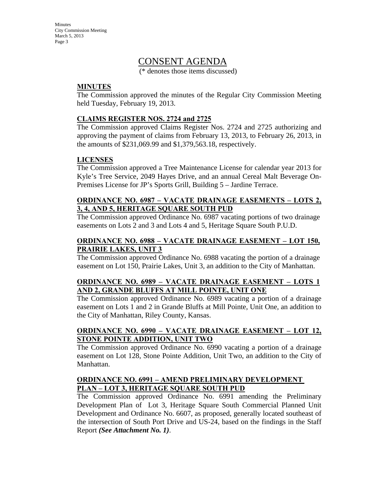# CONSENT AGENDA

(\* denotes those items discussed)

### **MINUTES**

The Commission approved the minutes of the Regular City Commission Meeting held Tuesday, February 19, 2013.

### **CLAIMS REGISTER NOS. 2724 and 2725**

The Commission approved Claims Register Nos. 2724 and 2725 authorizing and approving the payment of claims from February 13, 2013, to February 26, 2013, in the amounts of \$231,069.99 and \$1,379,563.18, respectively.

#### **LICENSES**

The Commission approved a Tree Maintenance License for calendar year 2013 for Kyle's Tree Service, 2049 Hayes Drive, and an annual Cereal Malt Beverage On-Premises License for JP's Sports Grill, Building 5 – Jardine Terrace.

#### **ORDINANCE NO. 6987 – VACATE DRAINAGE EASEMENTS – LOTS 2, 3, 4, AND 5, HERITAGE SQUARE SOUTH PUD**

The Commission approved Ordinance No. 6987 vacating portions of two drainage easements on Lots 2 and 3 and Lots 4 and 5, Heritage Square South P.U.D.

#### **ORDINANCE NO. 6988 – VACATE DRAINAGE EASEMENT – LOT 150, PRAIRIE LAKES, UNIT 3**

The Commission approved Ordinance No. 6988 vacating the portion of a drainage easement on Lot 150, Prairie Lakes, Unit 3, an addition to the City of Manhattan.

### **ORDINANCE NO. 6989 – VACATE DRAINAGE EASEMENT – LOTS 1 AND 2, GRANDE BLUFFS AT MILL POINTE, UNIT ONE**

The Commission approved Ordinance No. 6989 vacating a portion of a drainage easement on Lots 1 and 2 in Grande Bluffs at Mill Pointe, Unit One, an addition to the City of Manhattan, Riley County, Kansas.

### **ORDINANCE NO. 6990 – VACATE DRAINAGE EASEMENT – LOT 12, STONE POINTE ADDITION, UNIT TWO**

The Commission approved Ordinance No. 6990 vacating a portion of a drainage easement on Lot 128, Stone Pointe Addition, Unit Two, an addition to the City of Manhattan.

### **ORDINANCE NO. 6991 – AMEND PRELIMINARY DEVELOPMENT PLAN – LOT 3, HERITAGE SQUARE SOUTH PUD**

The Commission approved Ordinance No. 6991 amending the Preliminary Development Plan of Lot 3, Heritage Square South Commercial Planned Unit Development and Ordinance No. 6607, as proposed, generally located southeast of the intersection of South Port Drive and US-24, based on the findings in the Staff Report *(See Attachment No. 1)*.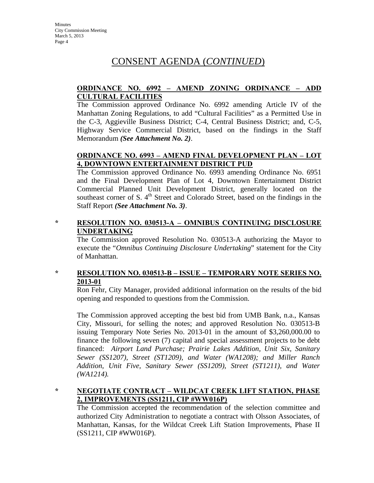# CONSENT AGENDA (*CONTINUED*)

### **ORDINANCE NO. 6992 – AMEND ZONING ORDINANCE – ADD CULTURAL FACILITIES**

The Commission approved Ordinance No. 6992 amending Article IV of the Manhattan Zoning Regulations, to add "Cultural Facilities" as a Permitted Use in the C-3, Aggieville Business District; C-4, Central Business District; and, C-5, Highway Service Commercial District, based on the findings in the Staff Memorandum *(See Attachment No. 2)*.

### **ORDINANCE NO. 6993 – AMEND FINAL DEVELOPMENT PLAN – LOT 4, DOWNTOWN ENTERTAINMENT DISTRICT PUD**

The Commission approved Ordinance No. 6993 amending Ordinance No. 6951 and the Final Development Plan of Lot 4, Downtown Entertainment District Commercial Planned Unit Development District, generally located on the southeast corner of S.  $4<sup>th</sup>$  Street and Colorado Street, based on the findings in the Staff Report *(See Attachment No. 3)*.

### **\* RESOLUTION NO. 030513-A – OMNIBUS CONTINUING DISCLOSURE UNDERTAKING**

The Commission approved Resolution No. 030513-A authorizing the Mayor to execute the "*Omnibus Continuing Disclosure Undertaking*" statement for the City of Manhattan.

### **\* RESOLUTION NO. 030513-B – ISSUE – TEMPORARY NOTE SERIES NO. 2013-01**

Ron Fehr, City Manager, provided additional information on the results of the bid opening and responded to questions from the Commission.

The Commission approved accepting the best bid from UMB Bank, n.a., Kansas City, Missouri, for selling the notes; and approved Resolution No. 030513-B issuing Temporary Note Series No. 2013-01 in the amount of \$3,260,000.00 to finance the following seven (7) capital and special assessment projects to be debt financed: *Airport Land Purchase; Prairie Lakes Addition, Unit Six, Sanitary Sewer (SS1207), Street (ST1209), and Water (WA1208); and Miller Ranch Addition, Unit Five, Sanitary Sewer (SS1209), Street (ST1211), and Water (WA1214).*

### **\* NEGOTIATE CONTRACT – WILDCAT CREEK LIFT STATION, PHASE 2, IMPROVEMENTS (SS1211, CIP #WW016P)**

The Commission accepted the recommendation of the selection committee and authorized City Administration to negotiate a contract with Olsson Associates, of Manhattan, Kansas, for the Wildcat Creek Lift Station Improvements, Phase II (SS1211, CIP #WW016P).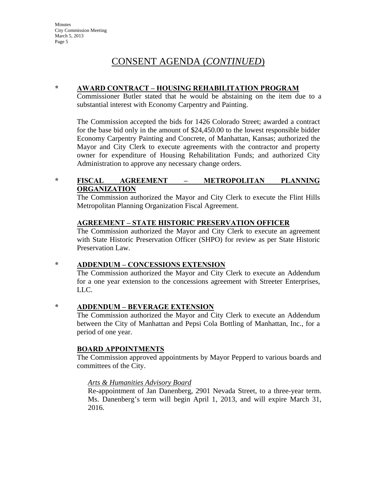# CONSENT AGENDA (*CONTINUED*)

#### **\* AWARD CONTRACT – HOUSING REHABILITATION PROGRAM**

Commissioner Butler stated that he would be abstaining on the item due to a substantial interest with Economy Carpentry and Painting.

The Commission accepted the bids for 1426 Colorado Street; awarded a contract for the base bid only in the amount of \$24,450.00 to the lowest responsible bidder Economy Carpentry Painting and Concrete, of Manhattan, Kansas; authorized the Mayor and City Clerk to execute agreements with the contractor and property owner for expenditure of Housing Rehabilitation Funds; and authorized City Administration to approve any necessary change orders.

### **\* FISCAL AGREEMENT – METROPOLITAN PLANNING ORGANIZATION**

The Commission authorized the Mayor and City Clerk to execute the Flint Hills Metropolitan Planning Organization Fiscal Agreement.

#### **AGREEMENT – STATE HISTORIC PRESERVATION OFFICER**

The Commission authorized the Mayor and City Clerk to execute an agreement with State Historic Preservation Officer (SHPO) for review as per State Historic Preservation Law.

### **\* ADDENDUM – CONCESSIONS EXTENSION**

The Commission authorized the Mayor and City Clerk to execute an Addendum for a one year extension to the concessions agreement with Streeter Enterprises, LLC.

**\* ADDENDUM – BEVERAGE EXTENSION**

The Commission authorized the Mayor and City Clerk to execute an Addendum between the City of Manhattan and Pepsi Cola Bottling of Manhattan, Inc., for a period of one year.

### **BOARD APPOINTMENTS**

The Commission approved appointments by Mayor Pepperd to various boards and committees of the City.

### *Arts & Humanities Advisory Board*

Re-appointment of Jan Danenberg, 2901 Nevada Street, to a three-year term. Ms. Danenberg's term will begin April 1, 2013, and will expire March 31, 2016.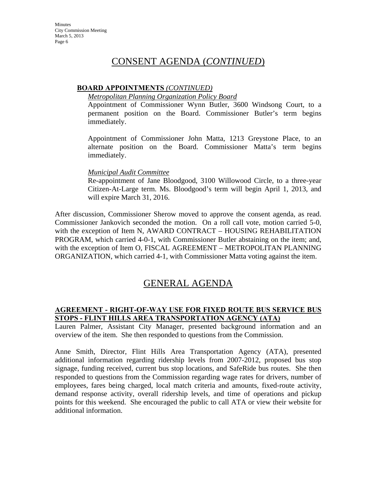# CONSENT AGENDA (*CONTINUED*)

#### **BOARD APPOINTMENTS** *(CONTINUED)*

#### *Metropolitan Planning Organization Policy Board*

Appointment of Commissioner Wynn Butler, 3600 Windsong Court, to a permanent position on the Board. Commissioner Butler's term begins immediately.

Appointment of Commissioner John Matta, 1213 Greystone Place, to an alternate position on the Board. Commissioner Matta's term begins immediately.

#### *Municipal Audit Committee*

Re-appointment of Jane Bloodgood, 3100 Willowood Circle, to a three-year Citizen-At-Large term. Ms. Bloodgood's term will begin April 1, 2013, and will expire March 31, 2016.

After discussion, Commissioner Sherow moved to approve the consent agenda, as read. Commissioner Jankovich seconded the motion. On a roll call vote, motion carried 5-0, with the exception of Item N, AWARD CONTRACT – HOUSING REHABILITATION PROGRAM, which carried 4-0-1, with Commissioner Butler abstaining on the item; and, with the exception of Item O, FISCAL AGREEMENT – METROPOLITAN PLANNING ORGANIZATION, which carried 4-1, with Commissioner Matta voting against the item.

# GENERAL AGENDA

### **AGREEMENT - RIGHT-OF-WAY USE FOR FIXED ROUTE BUS SERVICE BUS STOPS - FLINT HILLS AREA TRANSPORTATION AGENCY (ATA)**

Lauren Palmer, Assistant City Manager, presented background information and an overview of the item. She then responded to questions from the Commission.

Anne Smith, Director, Flint Hills Area Transportation Agency (ATA), presented additional information regarding ridership levels from 2007-2012, proposed bus stop signage, funding received, current bus stop locations, and SafeRide bus routes. She then responded to questions from the Commission regarding wage rates for drivers, number of employees, fares being charged, local match criteria and amounts, fixed-route activity, demand response activity, overall ridership levels, and time of operations and pickup points for this weekend. She encouraged the public to call ATA or view their website for additional information.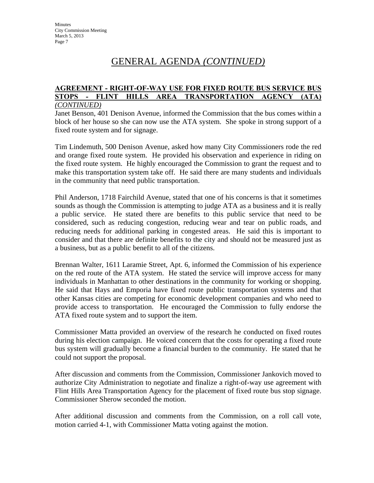#### **AGREEMENT - RIGHT-OF-WAY USE FOR FIXED ROUTE BUS SERVICE BUS STOPS - FLINT HILLS AREA TRANSPORTATION AGENCY (ATA)** *(CONTINUED)*

Janet Benson, 401 Denison Avenue, informed the Commission that the bus comes within a block of her house so she can now use the ATA system. She spoke in strong support of a fixed route system and for signage.

Tim Lindemuth, 500 Denison Avenue, asked how many City Commissioners rode the red and orange fixed route system. He provided his observation and experience in riding on the fixed route system. He highly encouraged the Commission to grant the request and to make this transportation system take off. He said there are many students and individuals in the community that need public transportation.

Phil Anderson, 1718 Fairchild Avenue, stated that one of his concerns is that it sometimes sounds as though the Commission is attempting to judge ATA as a business and it is really a public service. He stated there are benefits to this public service that need to be considered, such as reducing congestion, reducing wear and tear on public roads, and reducing needs for additional parking in congested areas. He said this is important to consider and that there are definite benefits to the city and should not be measured just as a business, but as a public benefit to all of the citizens.

Brennan Walter, 1611 Laramie Street, Apt. 6, informed the Commission of his experience on the red route of the ATA system. He stated the service will improve access for many individuals in Manhattan to other destinations in the community for working or shopping. He said that Hays and Emporia have fixed route public transportation systems and that other Kansas cities are competing for economic development companies and who need to provide access to transportation. He encouraged the Commission to fully endorse the ATA fixed route system and to support the item.

Commissioner Matta provided an overview of the research he conducted on fixed routes during his election campaign. He voiced concern that the costs for operating a fixed route bus system will gradually become a financial burden to the community. He stated that he could not support the proposal.

After discussion and comments from the Commission, Commissioner Jankovich moved to authorize City Administration to negotiate and finalize a right-of-way use agreement with Flint Hills Area Transportation Agency for the placement of fixed route bus stop signage. Commissioner Sherow seconded the motion.

After additional discussion and comments from the Commission, on a roll call vote, motion carried 4-1, with Commissioner Matta voting against the motion.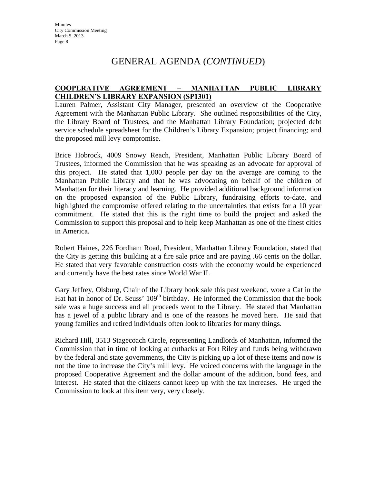### **COOPERATIVE AGREEMENT – MANHATTAN PUBLIC LIBRARY CHILDREN'S LIBRARY EXPANSION (SP1301)**

Lauren Palmer, Assistant City Manager, presented an overview of the Cooperative Agreement with the Manhattan Public Library. She outlined responsibilities of the City, the Library Board of Trustees, and the Manhattan Library Foundation; projected debt service schedule spreadsheet for the Children's Library Expansion; project financing; and the proposed mill levy compromise.

Brice Hobrock, 4009 Snowy Reach, President, Manhattan Public Library Board of Trustees, informed the Commission that he was speaking as an advocate for approval of this project. He stated that 1,000 people per day on the average are coming to the Manhattan Public Library and that he was advocating on behalf of the children of Manhattan for their literacy and learning. He provided additional background information on the proposed expansion of the Public Library, fundraising efforts to-date, and highlighted the compromise offered relating to the uncertainties that exists for a 10 year commitment. He stated that this is the right time to build the project and asked the Commission to support this proposal and to help keep Manhattan as one of the finest cities in America.

Robert Haines, 226 Fordham Road, President, Manhattan Library Foundation, stated that the City is getting this building at a fire sale price and are paying .66 cents on the dollar. He stated that very favorable construction costs with the economy would be experienced and currently have the best rates since World War II.

Gary Jeffrey, Olsburg, Chair of the Library book sale this past weekend, wore a Cat in the Hat hat in honor of Dr. Seuss'  $109<sup>th</sup>$  birthday. He informed the Commission that the book sale was a huge success and all proceeds went to the Library. He stated that Manhattan has a jewel of a public library and is one of the reasons he moved here. He said that young families and retired individuals often look to libraries for many things.

Richard Hill, 3513 Stagecoach Circle, representing Landlords of Manhattan, informed the Commission that in time of looking at cutbacks at Fort Riley and funds being withdrawn by the federal and state governments, the City is picking up a lot of these items and now is not the time to increase the City's mill levy. He voiced concerns with the language in the proposed Cooperative Agreement and the dollar amount of the addition, bond fees, and interest. He stated that the citizens cannot keep up with the tax increases. He urged the Commission to look at this item very, very closely.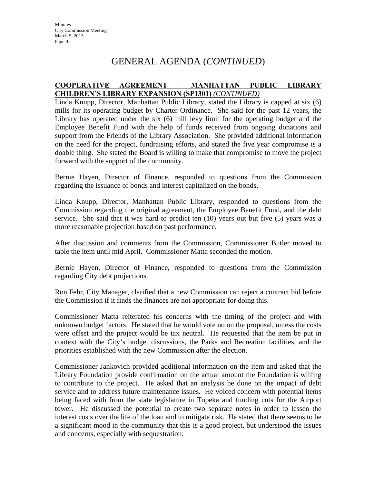### **COOPERATIVE AGREEMENT – MANHATTAN PUBLIC LIBRARY CHILDREN'S LIBRARY EXPANSION (SP1301)** *(CONTINUED)*

Linda Knupp, Director, Manhattan Public Library, stated the Library is capped at six (6) mills for its operating budget by Charter Ordinance. She said for the past 12 years, the Library has operated under the six (6) mill levy limit for the operating budget and the Employee Benefit Fund with the help of funds received from ongoing donations and support from the Friends of the Library Association. She provided additional information on the need for the project, fundraising efforts, and stated the five year compromise is a doable thing. She stated the Board is willing to make that compromise to move the project forward with the support of the community.

Bernie Hayen, Director of Finance, responded to questions from the Commission regarding the issuance of bonds and interest capitalized on the bonds.

Linda Knupp, Director, Manhattan Public Library, responded to questions from the Commission regarding the original agreement, the Employee Benefit Fund, and the debt service. She said that it was hard to predict ten (10) years out but five (5) years was a more reasonable projection based on past performance.

After discussion and comments from the Commission, Commissioner Butler moved to table the item until mid April. Commissioner Matta seconded the motion.

Bernie Hayen, Director of Finance, responded to questions from the Commission regarding City debt projections.

Ron Fehr, City Manager, clarified that a new Commission can reject a contract bid before the Commission if it finds the finances are not appropriate for doing this.

Commissioner Matta reiterated his concerns with the timing of the project and with unknown budget factors. He stated that he would vote no on the proposal, unless the costs were offset and the project would be tax neutral. He requested that the item be put in context with the City's budget discussions, the Parks and Recreation facilities, and the priorities established with the new Commission after the election.

Commissioner Jankovich provided additional information on the item and asked that the Library Foundation provide confirmation on the actual amount the Foundation is willing to contribute to the project. He asked that an analysis be done on the impact of debt service and to address future maintenance issues. He voiced concern with potential items being faced with from the state legislature in Topeka and funding cuts for the Airport tower. He discussed the potential to create two separate notes in order to lessen the interest costs over the life of the loan and to mitigate risk. He stated that there seems to be a significant mood in the community that this is a good project, but understood the issues and concerns, especially with sequestration.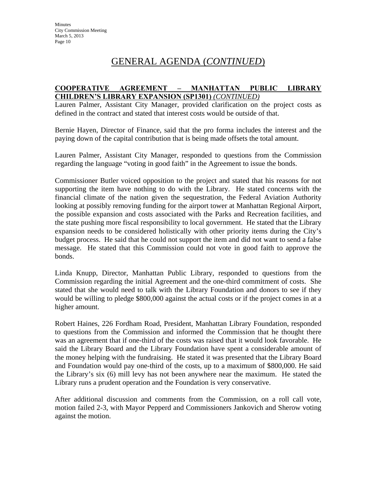#### **COOPERATIVE AGREEMENT – MANHATTAN PUBLIC LIBRARY CHILDREN'S LIBRARY EXPANSION (SP1301)** *(CONTINUED)*

Lauren Palmer, Assistant City Manager, provided clarification on the project costs as defined in the contract and stated that interest costs would be outside of that.

Bernie Hayen, Director of Finance, said that the pro forma includes the interest and the paying down of the capital contribution that is being made offsets the total amount.

Lauren Palmer, Assistant City Manager, responded to questions from the Commission regarding the language "voting in good faith" in the Agreement to issue the bonds.

Commissioner Butler voiced opposition to the project and stated that his reasons for not supporting the item have nothing to do with the Library. He stated concerns with the financial climate of the nation given the sequestration, the Federal Aviation Authority looking at possibly removing funding for the airport tower at Manhattan Regional Airport, the possible expansion and costs associated with the Parks and Recreation facilities, and the state pushing more fiscal responsibility to local government. He stated that the Library expansion needs to be considered holistically with other priority items during the City's budget process. He said that he could not support the item and did not want to send a false message. He stated that this Commission could not vote in good faith to approve the bonds.

Linda Knupp, Director, Manhattan Public Library, responded to questions from the Commission regarding the initial Agreement and the one-third commitment of costs. She stated that she would need to talk with the Library Foundation and donors to see if they would be willing to pledge \$800,000 against the actual costs or if the project comes in at a higher amount.

Robert Haines, 226 Fordham Road, President, Manhattan Library Foundation, responded to questions from the Commission and informed the Commission that he thought there was an agreement that if one-third of the costs was raised that it would look favorable. He said the Library Board and the Library Foundation have spent a considerable amount of the money helping with the fundraising. He stated it was presented that the Library Board and Foundation would pay one-third of the costs, up to a maximum of \$800,000. He said the Library's six (6) mill levy has not been anywhere near the maximum. He stated the Library runs a prudent operation and the Foundation is very conservative.

After additional discussion and comments from the Commission, on a roll call vote, motion failed 2-3, with Mayor Pepperd and Commissioners Jankovich and Sherow voting against the motion.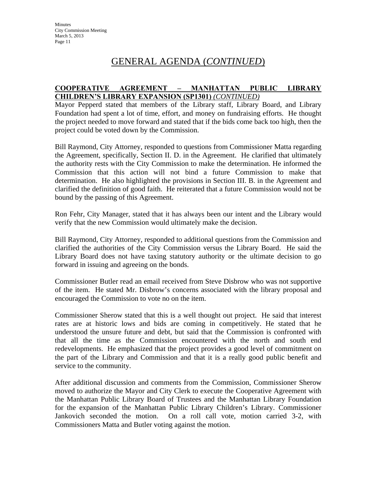#### **COOPERATIVE AGREEMENT – MANHATTAN PUBLIC LIBRARY CHILDREN'S LIBRARY EXPANSION (SP1301)** *(CONTINUED)*

Mayor Pepperd stated that members of the Library staff, Library Board, and Library Foundation had spent a lot of time, effort, and money on fundraising efforts. He thought the project needed to move forward and stated that if the bids come back too high, then the project could be voted down by the Commission.

Bill Raymond, City Attorney, responded to questions from Commissioner Matta regarding the Agreement, specifically, Section II. D. in the Agreement. He clarified that ultimately the authority rests with the City Commission to make the determination. He informed the Commission that this action will not bind a future Commission to make that determination. He also highlighted the provisions in Section III. B. in the Agreement and clarified the definition of good faith. He reiterated that a future Commission would not be bound by the passing of this Agreement.

Ron Fehr, City Manager, stated that it has always been our intent and the Library would verify that the new Commission would ultimately make the decision.

Bill Raymond, City Attorney, responded to additional questions from the Commission and clarified the authorities of the City Commission versus the Library Board. He said the Library Board does not have taxing statutory authority or the ultimate decision to go forward in issuing and agreeing on the bonds.

Commissioner Butler read an email received from Steve Disbrow who was not supportive of the item. He stated Mr. Disbrow's concerns associated with the library proposal and encouraged the Commission to vote no on the item.

Commissioner Sherow stated that this is a well thought out project. He said that interest rates are at historic lows and bids are coming in competitively. He stated that he understood the unsure future and debt, but said that the Commission is confronted with that all the time as the Commission encountered with the north and south end redevelopments. He emphasized that the project provides a good level of commitment on the part of the Library and Commission and that it is a really good public benefit and service to the community.

After additional discussion and comments from the Commission, Commissioner Sherow moved to authorize the Mayor and City Clerk to execute the Cooperative Agreement with the Manhattan Public Library Board of Trustees and the Manhattan Library Foundation for the expansion of the Manhattan Public Library Children's Library. Commissioner Jankovich seconded the motion. On a roll call vote, motion carried 3-2, with Commissioners Matta and Butler voting against the motion.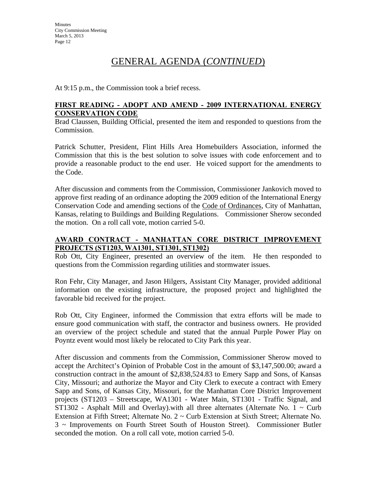At 9:15 p.m., the Commission took a brief recess.

#### **FIRST READING - ADOPT AND AMEND - 2009 INTERNATIONAL ENERGY CONSERVATION CODE**

Brad Claussen, Building Official, presented the item and responded to questions from the Commission.

Patrick Schutter, President, Flint Hills Area Homebuilders Association, informed the Commission that this is the best solution to solve issues with code enforcement and to provide a reasonable product to the end user. He voiced support for the amendments to the Code.

After discussion and comments from the Commission, Commissioner Jankovich moved to approve first reading of an ordinance adopting the 2009 edition of the International Energy Conservation Code and amending sections of the Code of Ordinances, City of Manhattan, Kansas, relating to Buildings and Building Regulations. Commissioner Sherow seconded the motion. On a roll call vote, motion carried 5-0.

### **AWARD CONTRACT - MANHATTAN CORE DISTRICT IMPROVEMENT PROJECTS (ST1203, WA1301, ST1301, ST1302)**

Rob Ott, City Engineer, presented an overview of the item. He then responded to questions from the Commission regarding utilities and stormwater issues.

Ron Fehr, City Manager, and Jason Hilgers, Assistant City Manager, provided additional information on the existing infrastructure, the proposed project and highlighted the favorable bid received for the project.

Rob Ott, City Engineer, informed the Commission that extra efforts will be made to ensure good communication with staff, the contractor and business owners. He provided an overview of the project schedule and stated that the annual Purple Power Play on Poyntz event would most likely be relocated to City Park this year.

After discussion and comments from the Commission, Commissioner Sherow moved to accept the Architect's Opinion of Probable Cost in the amount of \$3,147,500.00; award a construction contract in the amount of \$2,838,524.83 to Emery Sapp and Sons, of Kansas City, Missouri; and authorize the Mayor and City Clerk to execute a contract with Emery Sapp and Sons, of Kansas City, Missouri, for the Manhattan Core District Improvement projects (ST1203 – Streetscape, WA1301 - Water Main, ST1301 - Traffic Signal, and  $ST1302$  - Asphalt Mill and Overlay).with all three alternates (Alternate No. 1  $\sim$  Curb Extension at Fifth Street; Alternate No. 2 ~ Curb Extension at Sixth Street; Alternate No. 3 ~ Improvements on Fourth Street South of Houston Street). Commissioner Butler seconded the motion. On a roll call vote, motion carried 5-0.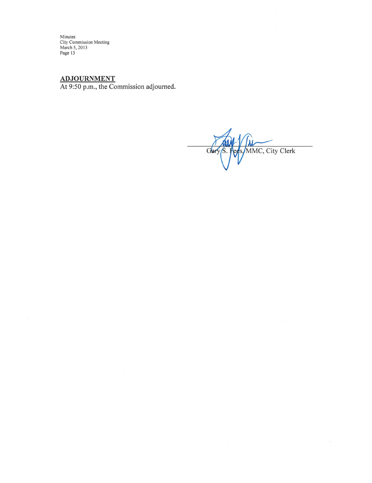Minutes<br>City Commission Meeting<br>March 5, 2013<br>Page 13

ADJOURNMENT<br>At 9:50 p.m., the Commission adjourned.

MMC, City Clerk Glar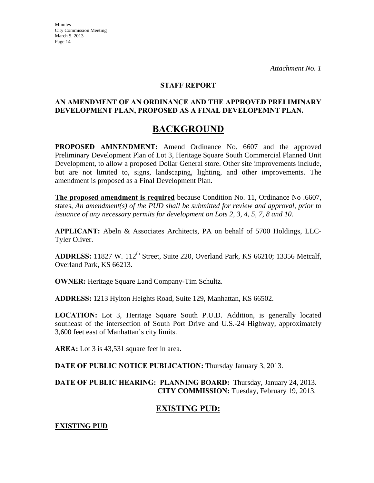#### **STAFF REPORT**

#### **AN AMENDMENT OF AN ORDINANCE AND THE APPROVED PRELIMINARY DEVELOPMENT PLAN, PROPOSED AS A FINAL DEVELOPEMNT PLAN.**

# **BACKGROUND**

**PROPOSED AMNENDMENT:** Amend Ordinance No. 6607 and the approved Preliminary Development Plan of Lot 3, Heritage Square South Commercial Planned Unit Development, to allow a proposed Dollar General store. Other site improvements include, but are not limited to, signs, landscaping, lighting, and other improvements. The amendment is proposed as a Final Development Plan.

**The proposed amendment is required** because Condition No. 11, Ordinance No .6607, states, *An amendment(s) of the PUD shall be submitted for review and approval, prior to issuance of any necessary permits for development on Lots 2, 3, 4, 5, 7, 8 and 10.*

**APPLICANT:** Abeln & Associates Architects, PA on behalf of 5700 Holdings, LLC-Tyler Oliver.

ADDRESS: 11827 W. 112<sup>th</sup> Street, Suite 220, Overland Park, KS 66210; 13356 Metcalf, Overland Park, KS 66213.

**OWNER:** Heritage Square Land Company-Tim Schultz.

**ADDRESS:** 1213 Hylton Heights Road, Suite 129, Manhattan, KS 66502.

**LOCATION:** Lot 3, Heritage Square South P.U.D. Addition, is generally located southeast of the intersection of South Port Drive and U.S.-24 Highway, approximately 3,600 feet east of Manhattan's city limits.

**AREA:** Lot 3 is 43,531 square feet in area.

**DATE OF PUBLIC NOTICE PUBLICATION:** Thursday January 3, 2013.

**DATE OF PUBLIC HEARING: PLANNING BOARD:** Thursday, January 24, 2013. **CITY COMMISSION:** Tuesday, February 19, 2013.

## **EXISTING PUD:**

**EXISTING PUD**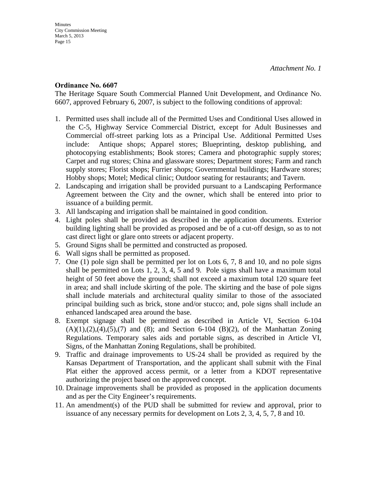#### **Ordinance No. 6607**

The Heritage Square South Commercial Planned Unit Development, and Ordinance No. 6607, approved February 6, 2007, is subject to the following conditions of approval:

- 1. Permitted uses shall include all of the Permitted Uses and Conditional Uses allowed in the C-5, Highway Service Commercial District, except for Adult Businesses and Commercial off-street parking lots as a Principal Use. Additional Permitted Uses include: Antique shops; Apparel stores; Blueprinting, desktop publishing, and photocopying establishments; Book stores; Camera and photographic supply stores; Carpet and rug stores; China and glassware stores; Department stores; Farm and ranch supply stores; Florist shops; Furrier shops; Governmental buildings; Hardware stores; Hobby shops; Motel; Medical clinic; Outdoor seating for restaurants; and Tavern.
- 2. Landscaping and irrigation shall be provided pursuant to a Landscaping Performance Agreement between the City and the owner, which shall be entered into prior to issuance of a building permit.
- 3. All landscaping and irrigation shall be maintained in good condition.
- 4. Light poles shall be provided as described in the application documents. Exterior building lighting shall be provided as proposed and be of a cut-off design, so as to not cast direct light or glare onto streets or adjacent property.
- 5. Ground Signs shall be permitted and constructed as proposed.
- 6. Wall signs shall be permitted as proposed.
- 7. One (1) pole sign shall be permitted per lot on Lots 6, 7, 8 and 10, and no pole signs shall be permitted on Lots 1, 2, 3, 4, 5 and 9. Pole signs shall have a maximum total height of 50 feet above the ground; shall not exceed a maximum total 120 square feet in area; and shall include skirting of the pole. The skirting and the base of pole signs shall include materials and architectural quality similar to those of the associated principal building such as brick, stone and/or stucco; and, pole signs shall include an enhanced landscaped area around the base.
- 8. Exempt signage shall be permitted as described in Article VI, Section 6-104  $(A)(1),(2),(4),(5),(7)$  and  $(8)$ ; and Section 6-104  $(B)(2)$ , of the Manhattan Zoning Regulations. Temporary sales aids and portable signs, as described in Article VI, Signs, of the Manhattan Zoning Regulations, shall be prohibited.
- 9. Traffic and drainage improvements to US-24 shall be provided as required by the Kansas Department of Transportation, and the applicant shall submit with the Final Plat either the approved access permit, or a letter from a KDOT representative authorizing the project based on the approved concept.
- 10. Drainage improvements shall be provided as proposed in the application documents and as per the City Engineer's requirements.
- 11. An amendment(s) of the PUD shall be submitted for review and approval, prior to issuance of any necessary permits for development on Lots 2, 3, 4, 5, 7, 8 and 10.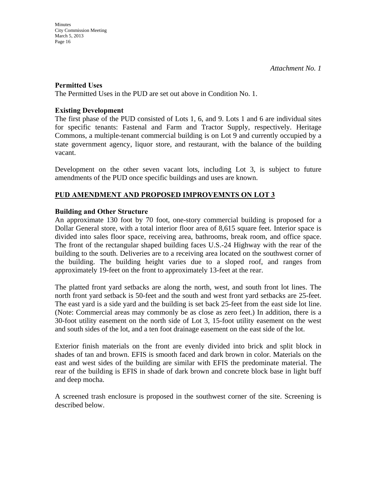#### **Permitted Uses**

The Permitted Uses in the PUD are set out above in Condition No. 1.

#### **Existing Development**

The first phase of the PUD consisted of Lots 1, 6, and 9. Lots 1 and 6 are individual sites for specific tenants: Fastenal and Farm and Tractor Supply, respectively. Heritage Commons, a multiple-tenant commercial building is on Lot 9 and currently occupied by a state government agency, liquor store, and restaurant, with the balance of the building vacant.

Development on the other seven vacant lots, including Lot 3, is subject to future amendments of the PUD once specific buildings and uses are known.

### **PUD AMENDMENT AND PROPOSED IMPROVEMNTS ON LOT 3**

#### **Building and Other Structure**

An approximate 130 foot by 70 foot, one-story commercial building is proposed for a Dollar General store, with a total interior floor area of 8,615 square feet. Interior space is divided into sales floor space, receiving area, bathrooms, break room, and office space. The front of the rectangular shaped building faces U.S.-24 Highway with the rear of the building to the south. Deliveries are to a receiving area located on the southwest corner of the building. The building height varies due to a sloped roof, and ranges from approximately 19-feet on the front to approximately 13-feet at the rear.

The platted front yard setbacks are along the north, west, and south front lot lines. The north front yard setback is 50-feet and the south and west front yard setbacks are 25-feet. The east yard is a side yard and the building is set back 25-feet from the east side lot line. (Note: Commercial areas may commonly be as close as zero feet.) In addition, there is a 30-foot utility easement on the north side of Lot 3, 15-foot utility easement on the west and south sides of the lot, and a ten foot drainage easement on the east side of the lot.

Exterior finish materials on the front are evenly divided into brick and split block in shades of tan and brown. EFIS is smooth faced and dark brown in color. Materials on the east and west sides of the building are similar with EFIS the predominate material. The rear of the building is EFIS in shade of dark brown and concrete block base in light buff and deep mocha.

A screened trash enclosure is proposed in the southwest corner of the site. Screening is described below.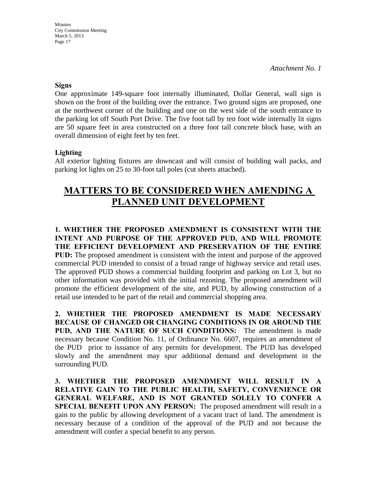*Attachment No. 1* 

#### **Signs**

One approximate 149-square foot internally illuminated, Dollar General, wall sign is shown on the front of the building over the entrance. Two ground signs are proposed, one at the northwest corner of the building and one on the west side of the south entrance to the parking lot off South Port Drive. The five foot tall by ten foot wide internally lit signs are 50 square feet in area constructed on a three foot tall concrete block base, with an overall dimension of eight feet by ten feet.

#### **Lighting**

All exterior lighting fixtures are downcast and will consist of building wall packs, and parking lot lights on 25 to 30-foot tall poles (cut sheets attached).

# **MATTERS TO BE CONSIDERED WHEN AMENDING A PLANNED UNIT DEVELOPMENT**

**1. WHETHER THE PROPOSED AMENDMENT IS CONSISTENT WITH THE INTENT AND PURPOSE OF THE APPROVED PUD, AND WILL PROMOTE THE EFFICIENT DEVELOPMENT AND PRESERVATION OF THE ENTIRE PUD:** The proposed amendment is consistent with the intent and purpose of the approved commercial PUD intended to consist of a broad range of highway service and retail uses. The approved PUD shows a commercial building footprint and parking on Lot 3, but no other information was provided with the initial rezoning. The proposed amendment will promote the efficient development of the site, and PUD, by allowing construction of a retail use intended to be part of the retail and commercial shopping area.

**2. WHETHER THE PROPOSED AMENDMENT IS MADE NECESSARY BECAUSE OF CHANGED OR CHANGING CONDITIONS IN OR AROUND THE PUD, AND THE NATURE OF SUCH CONDITIONS:** The amendment is made necessary because Condition No. 11, of Ordinance No. 6607, requires an amendment of the PUD prior to issuance of any permits for development. The PUD has developed slowly and the amendment may spur additional demand and development in the surrounding PUD.

**3. WHETHER THE PROPOSED AMENDMENT WILL RESULT IN A RELATIVE GAIN TO THE PUBLIC HEALTH, SAFETY, CONVENIENCE OR GENERAL WELFARE, AND IS NOT GRANTED SOLELY TO CONFER A SPECIAL BENEFIT UPON ANY PERSON:** The proposed amendment will result in a gain to the public by allowing development of a vacant tract of land. The amendment is necessary because of a condition of the approval of the PUD and not because the amendment will confer a special benefit to any person.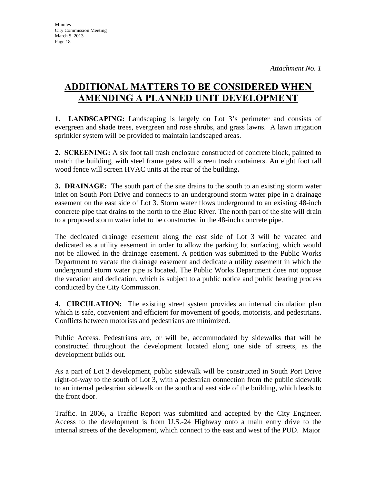# **ADDITIONAL MATTERS TO BE CONSIDERED WHEN AMENDING A PLANNED UNIT DEVELOPMENT**

**1. LANDSCAPING:** Landscaping is largely on Lot 3's perimeter and consists of evergreen and shade trees, evergreen and rose shrubs, and grass lawns. A lawn irrigation sprinkler system will be provided to maintain landscaped areas.

**2. SCREENING:** A six foot tall trash enclosure constructed of concrete block, painted to match the building, with steel frame gates will screen trash containers. An eight foot tall wood fence will screen HVAC units at the rear of the building**.**

**3. DRAINAGE:** The south part of the site drains to the south to an existing storm water inlet on South Port Drive and connects to an underground storm water pipe in a drainage easement on the east side of Lot 3. Storm water flows underground to an existing 48-inch concrete pipe that drains to the north to the Blue River. The north part of the site will drain to a proposed storm water inlet to be constructed in the 48-inch concrete pipe.

The dedicated drainage easement along the east side of Lot 3 will be vacated and dedicated as a utility easement in order to allow the parking lot surfacing, which would not be allowed in the drainage easement. A petition was submitted to the Public Works Department to vacate the drainage easement and dedicate a utility easement in which the underground storm water pipe is located. The Public Works Department does not oppose the vacation and dedication, which is subject to a public notice and public hearing process conducted by the City Commission.

**4. CIRCULATION:** The existing street system provides an internal circulation plan which is safe, convenient and efficient for movement of goods, motorists, and pedestrians. Conflicts between motorists and pedestrians are minimized.

Public Access. Pedestrians are, or will be, accommodated by sidewalks that will be constructed throughout the development located along one side of streets, as the development builds out.

As a part of Lot 3 development, public sidewalk will be constructed in South Port Drive right-of-way to the south of Lot 3, with a pedestrian connection from the public sidewalk to an internal pedestrian sidewalk on the south and east side of the building, which leads to the front door.

Traffic. In 2006, a Traffic Report was submitted and accepted by the City Engineer. Access to the development is from U.S.-24 Highway onto a main entry drive to the internal streets of the development, which connect to the east and west of the PUD. Major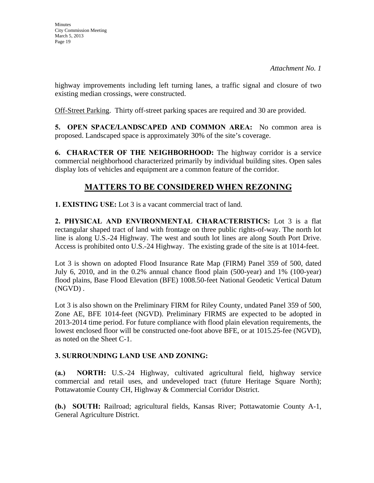highway improvements including left turning lanes, a traffic signal and closure of two existing median crossings, were constructed.

Off-Street Parking. Thirty off-street parking spaces are required and 30 are provided.

**5. OPEN SPACE/LANDSCAPED AND COMMON AREA:** No common area is proposed. Landscaped space is approximately 30% of the site's coverage.

**6. CHARACTER OF THE NEIGHBORHOOD:** The highway corridor is a service commercial neighborhood characterized primarily by individual building sites. Open sales display lots of vehicles and equipment are a common feature of the corridor.

# **MATTERS TO BE CONSIDERED WHEN REZONING**

**1. EXISTING USE:** Lot 3 is a vacant commercial tract of land.

**2. PHYSICAL AND ENVIRONMENTAL CHARACTERISTICS:** Lot 3 is a flat rectangular shaped tract of land with frontage on three public rights-of-way. The north lot line is along U.S.-24 Highway. The west and south lot lines are along South Port Drive. Access is prohibited onto U.S.-24 Highway. The existing grade of the site is at 1014-feet.

Lot 3 is shown on adopted Flood Insurance Rate Map (FIRM) Panel 359 of 500, dated July 6, 2010, and in the 0.2% annual chance flood plain (500-year) and 1% (100-year) flood plains, Base Flood Elevation (BFE) 1008.50-feet National Geodetic Vertical Datum (NGVD) .

Lot 3 is also shown on the Preliminary FIRM for Riley County, undated Panel 359 of 500, Zone AE, BFE 1014-feet (NGVD). Preliminary FIRMS are expected to be adopted in 2013-2014 time period. For future compliance with flood plain elevation requirements, the lowest enclosed floor will be constructed one-foot above BFE, or at 1015.25-fee (NGVD), as noted on the Sheet C-1.

### **3. SURROUNDING LAND USE AND ZONING:**

**(a.) NORTH:** U.S.-24 Highway, cultivated agricultural field, highway service commercial and retail uses, and undeveloped tract (future Heritage Square North); Pottawatomie County CH, Highway & Commercial Corridor District.

**(b.) SOUTH:** Railroad; agricultural fields, Kansas River; Pottawatomie County A-1, General Agriculture District.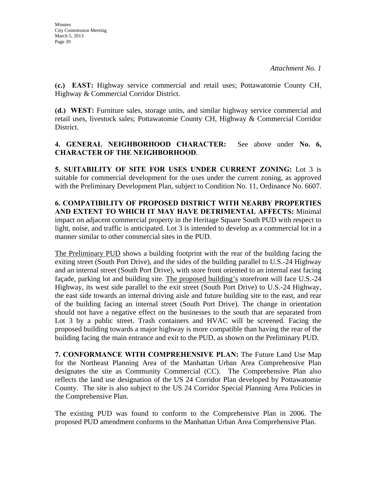**(c.) EAST:** Highway service commercial and retail uses; Pottawatomie County CH, Highway & Commercial Corridor District.

**(d.) WEST:** Furniture sales, storage units, and similar highway service commercial and retail uses, livestock sales; Pottawatomie County CH, Highway & Commercial Corridor District.

### **4. GENERAL NEIGHBORHOOD CHARACTER:** See above under **No. 6, CHARACTER OF THE NEIGHBORHOOD**.

**5. SUITABILITY OF SITE FOR USES UNDER CURRENT ZONING:** Lot 3 is suitable for commercial development for the uses under the current zoning, as approved with the Preliminary Development Plan, subject to Condition No. 11, Ordinance No. 6607.

**6. COMPATIBILITY OF PROPOSED DISTRICT WITH NEARBY PROPERTIES AND EXTENT TO WHICH IT MAY HAVE DETRIMENTAL AFFECTS:** Minimal impact on adjacent commercial property in the Heritage Square South PUD with respect to light, noise, and traffic is anticipated. Lot 3 is intended to develop as a commercial lot in a manner similar to other commercial sites in the PUD.

The Preliminary PUD shows a building footprint with the rear of the building facing the exiting street (South Port Drive), and the sides of the building parallel to U.S.-24 Highway and an internal street (South Port Drive), with store front oriented to an internal east facing façade, parking lot and building site. The proposed building's storefront will face U.S.-24 Highway, its west side parallel to the exit street (South Port Drive) to U.S.-24 Highway, the east side towards an internal driving aisle and future building site to the east, and rear of the building facing an internal street (South Port Drive). The change in orientation should not have a negative effect on the businesses to the south that are separated from Lot 3 by a public street. Trash containers and HVAC will be screened. Facing the proposed building towards a major highway is more compatible than having the rear of the building facing the main entrance and exit to the PUD, as shown on the Preliminary PUD.

**7. CONFORMANCE WITH COMPREHENSIVE PLAN:** The Future Land Use Map for the Northeast Planning Area of the Manhattan Urban Area Comprehensive Plan designates the site as Community Commercial (CC). The Comprehensive Plan also reflects the land use designation of the US 24 Corridor Plan developed by Pottawatomie County. The site is also subject to the US 24 Corridor Special Planning Area Policies in the Comprehensive Plan.

The existing PUD was found to conform to the Comprehensive Plan in 2006. The proposed PUD amendment conforms to the Manhattan Urban Area Comprehensive Plan.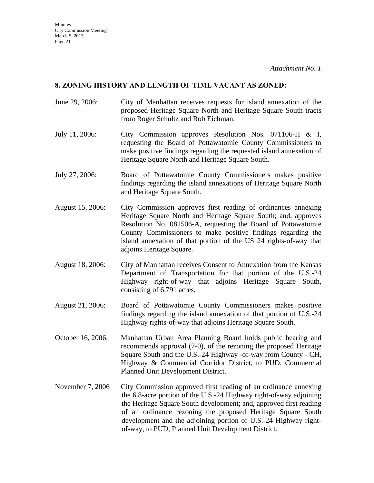#### **8. ZONING HISTORY AND LENGTH OF TIME VACANT AS ZONED:**

- June 29, 2006: City of Manhattan receives requests for island annexation of the proposed Heritage Square North and Heritage Square South tracts from Roger Schultz and Rob Eichman.
- July 11, 2006: City Commission approves Resolution Nos. 071106-H & I, requesting the Board of Pottawatomie County Commissioners to make positive findings regarding the requested island annexation of Heritage Square North and Heritage Square South.
- July 27, 2006: Board of Pottawatomie County Commissioners makes positive findings regarding the island annexations of Heritage Square North and Heritage Square South.
- August 15, 2006: City Commission approves first reading of ordinances annexing Heritage Square North and Heritage Square South; and, approves Resolution No. 081506-A, requesting the Board of Pottawatomie County Commissioners to make positive findings regarding the island annexation of that portion of the US 24 rights-of-way that adjoins Heritage Square.
- August 18, 2006: City of Manhattan receives Consent to Annexation from the Kansas Department of Transportation for that portion of the U.S.-24 Highway right-of-way that adjoins Heritage Square South, consisting of 6.791 acres.
- August 21, 2006: Board of Pottawatomie County Commissioners makes positive findings regarding the island annexation of that portion of U.S.-24 Highway rights-of-way that adjoins Heritage Square South.
- October 16, 2006; Manhattan Urban Area Planning Board holds public hearing and recommends approval (7-0), of the rezoning the proposed Heritage Square South and the U.S.-24 Highway -of-way from County - CH, Highway & Commercial Corridor District, to PUD, Commercial Planned Unit Development District.
- November 7, 2006 City Commission approved first reading of an ordinance annexing the 6.8-acre portion of the U.S.-24 Highway right-of-way adjoining the Heritage Square South development; and, approved first reading of an ordinance rezoning the proposed Heritage Square South development and the adjoining portion of U.S.-24 Highway rightof-way, to PUD, Planned Unit Development District.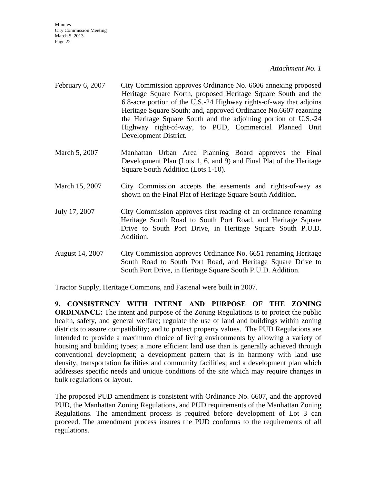#### *Attachment No. 1*

- February 6, 2007 City Commission approves Ordinance No. 6606 annexing proposed Heritage Square North, proposed Heritage Square South and the 6.8-acre portion of the U.S.-24 Highway rights-of-way that adjoins Heritage Square South; and, approved Ordinance No.6607 rezoning the Heritage Square South and the adjoining portion of U.S.-24 Highway right-of-way, to PUD, Commercial Planned Unit Development District.
- March 5, 2007 Manhattan Urban Area Planning Board approves the Final Development Plan (Lots 1, 6, and 9) and Final Plat of the Heritage Square South Addition (Lots 1-10).
- March 15, 2007 City Commission accepts the easements and rights-of-way as shown on the Final Plat of Heritage Square South Addition.
- July 17, 2007 City Commission approves first reading of an ordinance renaming Heritage South Road to South Port Road, and Heritage Square Drive to South Port Drive, in Heritage Square South P.U.D. Addition.
- August 14, 2007 City Commission approves Ordinance No. 6651 renaming Heritage South Road to South Port Road, and Heritage Square Drive to South Port Drive, in Heritage Square South P.U.D. Addition.

Tractor Supply, Heritage Commons, and Fastenal were built in 2007.

**9. CONSISTENCY WITH INTENT AND PURPOSE OF THE ZONING ORDINANCE:** The intent and purpose of the Zoning Regulations is to protect the public health, safety, and general welfare; regulate the use of land and buildings within zoning districts to assure compatibility; and to protect property values. The PUD Regulations are intended to provide a maximum choice of living environments by allowing a variety of housing and building types; a more efficient land use than is generally achieved through conventional development; a development pattern that is in harmony with land use density, transportation facilities and community facilities; and a development plan which addresses specific needs and unique conditions of the site which may require changes in bulk regulations or layout.

The proposed PUD amendment is consistent with Ordinance No. 6607, and the approved PUD, the Manhattan Zoning Regulations, and PUD requirements of the Manhattan Zoning Regulations. The amendment process is required before development of Lot 3 can proceed. The amendment process insures the PUD conforms to the requirements of all regulations.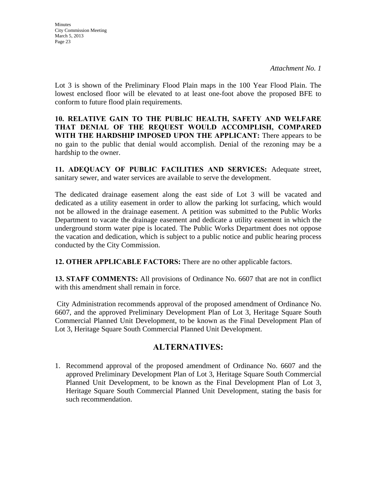Lot 3 is shown of the Preliminary Flood Plain maps in the 100 Year Flood Plain. The lowest enclosed floor will be elevated to at least one-foot above the proposed BFE to conform to future flood plain requirements.

**10. RELATIVE GAIN TO THE PUBLIC HEALTH, SAFETY AND WELFARE THAT DENIAL OF THE REQUEST WOULD ACCOMPLISH, COMPARED WITH THE HARDSHIP IMPOSED UPON THE APPLICANT:** There appears to be no gain to the public that denial would accomplish. Denial of the rezoning may be a hardship to the owner.

**11. ADEQUACY OF PUBLIC FACILITIES AND SERVICES:** Adequate street, sanitary sewer, and water services are available to serve the development.

The dedicated drainage easement along the east side of Lot 3 will be vacated and dedicated as a utility easement in order to allow the parking lot surfacing, which would not be allowed in the drainage easement. A petition was submitted to the Public Works Department to vacate the drainage easement and dedicate a utility easement in which the underground storm water pipe is located. The Public Works Department does not oppose the vacation and dedication, which is subject to a public notice and public hearing process conducted by the City Commission.

**12. OTHER APPLICABLE FACTORS:** There are no other applicable factors.

**13. STAFF COMMENTS:** All provisions of Ordinance No. 6607 that are not in conflict with this amendment shall remain in force.

City Administration recommends approval of the proposed amendment of Ordinance No. 6607, and the approved Preliminary Development Plan of Lot 3, Heritage Square South Commercial Planned Unit Development, to be known as the Final Development Plan of Lot 3, Heritage Square South Commercial Planned Unit Development.

### **ALTERNATIVES:**

1. Recommend approval of the proposed amendment of Ordinance No. 6607 and the approved Preliminary Development Plan of Lot 3, Heritage Square South Commercial Planned Unit Development, to be known as the Final Development Plan of Lot 3, Heritage Square South Commercial Planned Unit Development, stating the basis for such recommendation.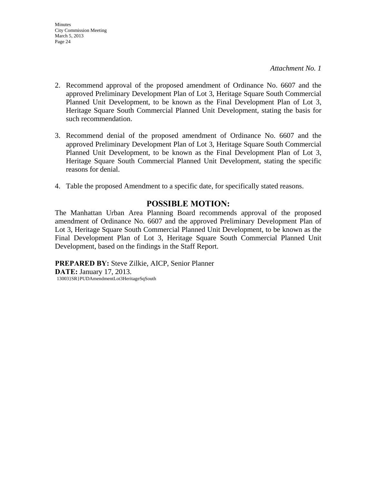- 2. Recommend approval of the proposed amendment of Ordinance No. 6607 and the approved Preliminary Development Plan of Lot 3, Heritage Square South Commercial Planned Unit Development, to be known as the Final Development Plan of Lot 3, Heritage Square South Commercial Planned Unit Development, stating the basis for such recommendation.
- 3. Recommend denial of the proposed amendment of Ordinance No. 6607 and the approved Preliminary Development Plan of Lot 3, Heritage Square South Commercial Planned Unit Development, to be known as the Final Development Plan of Lot 3, Heritage Square South Commercial Planned Unit Development, stating the specific reasons for denial.
- 4. Table the proposed Amendment to a specific date, for specifically stated reasons.

### **POSSIBLE MOTION:**

The Manhattan Urban Area Planning Board recommends approval of the proposed amendment of Ordinance No. 6607 and the approved Preliminary Development Plan of Lot 3, Heritage Square South Commercial Planned Unit Development, to be known as the Final Development Plan of Lot 3, Heritage Square South Commercial Planned Unit Development, based on the findings in the Staff Report.

**PREPARED BY:** Steve Zilkie, AICP, Senior Planner **DATE:** January 17, 2013. 13003}SR}PUDAmendmentLot3HeritageSqSouth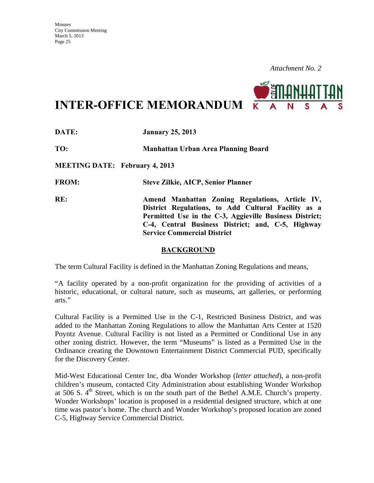

**INTER-OFFICE MEMORANDUM**

**DATE: January 25, 2013 TO: Manhattan Urban Area Planning Board MEETING DATE: February 4, 2013 FROM: Steve Zilkie, AICP, Senior Planner RE: Amend Manhattan Zoning Regulations, Article IV, District Regulations, to Add Cultural Facility as a Permitted Use in the C-3, Aggieville Business District; C-4, Central Business District; and, C-5, Highway Service Commercial District** 

#### **BACKGROUND**

The term Cultural Facility is defined in the Manhattan Zoning Regulations and means,

"A facility operated by a non-profit organization for the providing of activities of a historic, educational, or cultural nature, such as museums, art galleries, or performing arts."

Cultural Facility is a Permitted Use in the C-1, Restricted Business District, and was added to the Manhattan Zoning Regulations to allow the Manhattan Arts Center at 1520 Poyntz Avenue. Cultural Facility is not listed as a Permitted or Conditional Use in any other zoning district. However, the term "Museums" is listed as a Permitted Use in the Ordinance creating the Downtown Entertainment District Commercial PUD, specifically for the Discovery Center.

Mid-West Educational Center Inc, dba Wonder Workshop (*letter attached*), a non-profit children's museum, contacted City Administration about establishing Wonder Workshop at 506 S.  $4<sup>th</sup>$  Street, which is on the south part of the Bethel A.M.E. Church's property. Wonder Workshops' location is proposed in a residential designed structure, which at one time was pastor's home. The church and Wonder Workshop's proposed location are zoned C-5, Highway Service Commercial District.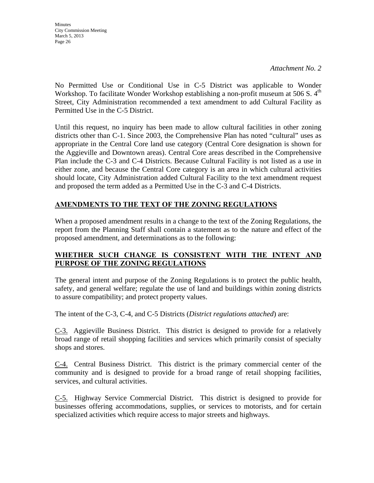*Attachment No. 2* 

No Permitted Use or Conditional Use in C-5 District was applicable to Wonder Workshop. To facilitate Wonder Workshop establishing a non-profit museum at 506 S.  $4<sup>th</sup>$ Street, City Administration recommended a text amendment to add Cultural Facility as Permitted Use in the C-5 District.

Until this request, no inquiry has been made to allow cultural facilities in other zoning districts other than C-1. Since 2003, the Comprehensive Plan has noted "cultural" uses as appropriate in the Central Core land use category (Central Core designation is shown for the Aggieville and Downtown areas). Central Core areas described in the Comprehensive Plan include the C-3 and C-4 Districts. Because Cultural Facility is not listed as a use in either zone, and because the Central Core category is an area in which cultural activities should locate, City Administration added Cultural Facility to the text amendment request and proposed the term added as a Permitted Use in the C-3 and C-4 Districts.

### **AMENDMENTS TO THE TEXT OF THE ZONING REGULATIONS**

When a proposed amendment results in a change to the text of the Zoning Regulations, the report from the Planning Staff shall contain a statement as to the nature and effect of the proposed amendment, and determinations as to the following:

### **WHETHER SUCH CHANGE IS CONSISTENT WITH THE INTENT AND PURPOSE OF THE ZONING REGULATIONS**

The general intent and purpose of the Zoning Regulations is to protect the public health, safety, and general welfare; regulate the use of land and buildings within zoning districts to assure compatibility; and protect property values.

The intent of the C-3, C-4, and C-5 Districts (*District regulations attached*) are:

C-3. Aggieville Business District. This district is designed to provide for a relatively broad range of retail shopping facilities and services which primarily consist of specialty shops and stores.

C-4. Central Business District. This district is the primary commercial center of the community and is designed to provide for a broad range of retail shopping facilities, services, and cultural activities.

C-5. Highway Service Commercial District. This district is designed to provide for businesses offering accommodations, supplies, or services to motorists, and for certain specialized activities which require access to major streets and highways.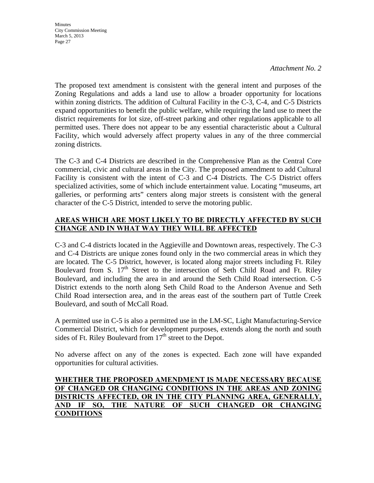#### *Attachment No. 2*

The proposed text amendment is consistent with the general intent and purposes of the Zoning Regulations and adds a land use to allow a broader opportunity for locations within zoning districts. The addition of Cultural Facility in the C-3, C-4, and C-5 Districts expand opportunities to benefit the public welfare, while requiring the land use to meet the district requirements for lot size, off-street parking and other regulations applicable to all permitted uses. There does not appear to be any essential characteristic about a Cultural Facility, which would adversely affect property values in any of the three commercial zoning districts.

The C-3 and C-4 Districts are described in the Comprehensive Plan as the Central Core commercial, civic and cultural areas in the City. The proposed amendment to add Cultural Facility is consistent with the intent of C-3 and C-4 Districts. The C-5 District offers specialized activities, some of which include entertainment value. Locating "museums, art galleries, or performing arts" centers along major streets is consistent with the general character of the C-5 District, intended to serve the motoring public.

### **AREAS WHICH ARE MOST LIKELY TO BE DIRECTLY AFFECTED BY SUCH CHANGE AND IN WHAT WAY THEY WILL BE AFFECTED**

C-3 and C-4 districts located in the Aggieville and Downtown areas, respectively. The C-3 and C-4 Districts are unique zones found only in the two commercial areas in which they are located. The C-5 District, however, is located along major streets including Ft. Riley Boulevard from S.  $17<sup>th</sup>$  Street to the intersection of Seth Child Road and Ft. Riley Boulevard, and including the area in and around the Seth Child Road intersection. C-5 District extends to the north along Seth Child Road to the Anderson Avenue and Seth Child Road intersection area, and in the areas east of the southern part of Tuttle Creek Boulevard, and south of McCall Road.

A permitted use in C-5 is also a permitted use in the LM-SC, Light Manufacturing-Service Commercial District, which for development purposes, extends along the north and south sides of Ft. Riley Boulevard from  $17<sup>th</sup>$  street to the Depot.

No adverse affect on any of the zones is expected. Each zone will have expanded opportunities for cultural activities.

#### **WHETHER THE PROPOSED AMENDMENT IS MADE NECESSARY BECAUSE OF CHANGED OR CHANGING CONDITIONS IN THE AREAS AND ZONING DISTRICTS AFFECTED, OR IN THE CITY PLANNING AREA, GENERALLY, AND IF SO, THE NATURE OF SUCH CHANGED OR CHANGING CONDITIONS**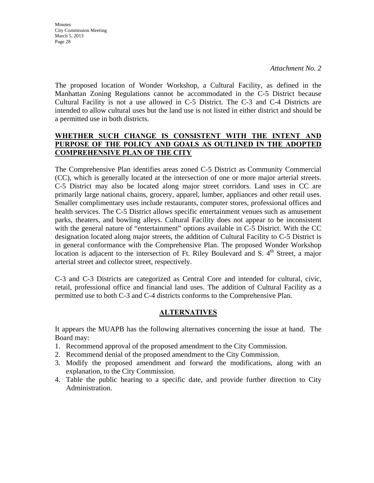*Attachment No. 2* 

The proposed location of Wonder Workshop, a Cultural Facility, as defined in the Manhattan Zoning Regulations cannot be accommodated in the C-5 District because Cultural Facility is not a use allowed in C-5 District. The C-3 and C-4 Districts are intended to allow cultural uses but the land use is not listed in either district and should be a permitted use in both districts.

### **WHETHER SUCH CHANGE IS CONSISTENT WITH THE INTENT AND PURPOSE OF THE POLICY AND GOALS AS OUTLINED IN THE ADOPTED COMPREHENSIVE PLAN OF THE CITY**

The Comprehensive Plan identifies areas zoned C-5 District as Community Commercial (CC), which is generally located at the intersection of one or more major arterial streets. C-5 District may also be located along major street corridors. Land uses in CC are primarily large national chains, grocery, apparel, lumber, appliances and other retail uses. Smaller complimentary uses include restaurants, computer stores, professional offices and health services. The C-5 District allows specific entertainment venues such as amusement parks, theaters, and bowling alleys. Cultural Facility does not appear to be inconsistent with the general nature of "entertainment" options available in C-5 District. With the CC designation located along major streets, the addition of Cultural Facility to C-5 District is in general conformance with the Comprehensive Plan. The proposed Wonder Workshop location is adjacent to the intersection of Ft. Riley Boulevard and S.  $4<sup>th</sup>$  Street, a major arterial street and collector street, respectively.

C-3 and C-3 Districts are categorized as Central Core and intended for cultural, civic, retail, professional office and financial land uses. The addition of Cultural Facility as a permitted use to both C-3 and C-4 districts conforms to the Comprehensive Plan.

### **ALTERNATIVES**

It appears the MUAPB has the following alternatives concerning the issue at hand. The Board may:

- 1. Recommend approval of the proposed amendment to the City Commission.
- 2. Recommend denial of the proposed amendment to the City Commission.
- 3. Modify the proposed amendment and forward the modifications, along with an explanation, to the City Commission.
- 4. Table the public hearing to a specific date, and provide further direction to City Administration.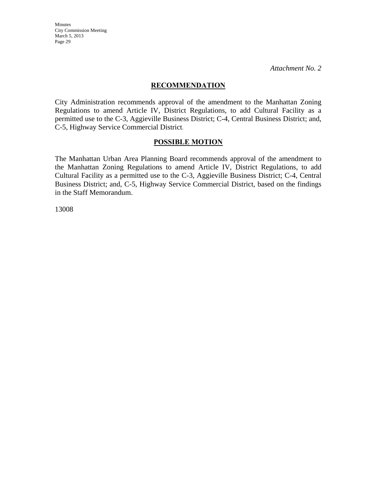*Attachment No. 2* 

#### **RECOMMENDATION**

City Administration recommends approval of the amendment to the Manhattan Zoning Regulations to amend Article IV, District Regulations, to add Cultural Facility as a permitted use to the C-3, Aggieville Business District; C-4, Central Business District; and, C-5, Highway Service Commercial District.

#### **POSSIBLE MOTION**

The Manhattan Urban Area Planning Board recommends approval of the amendment to the Manhattan Zoning Regulations to amend Article IV, District Regulations, to add Cultural Facility as a permitted use to the C-3, Aggieville Business District; C-4, Central Business District; and, C-5, Highway Service Commercial District, based on the findings in the Staff Memorandum.

13008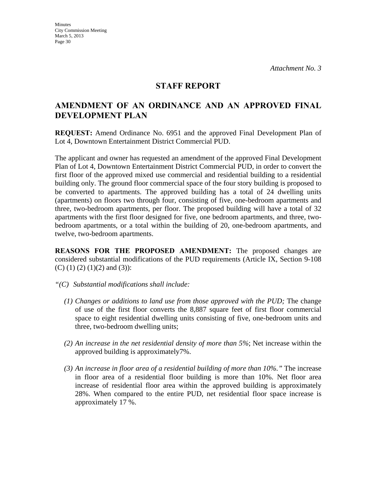### **STAFF REPORT**

### **AMENDMENT OF AN ORDINANCE AND AN APPROVED FINAL DEVELOPMENT PLAN**

**REQUEST:** Amend Ordinance No. 6951 and the approved Final Development Plan of Lot 4, Downtown Entertainment District Commercial PUD.

The applicant and owner has requested an amendment of the approved Final Development Plan of Lot 4, Downtown Entertainment District Commercial PUD, in order to convert the first floor of the approved mixed use commercial and residential building to a residential building only. The ground floor commercial space of the four story building is proposed to be converted to apartments. The approved building has a total of 24 dwelling units (apartments) on floors two through four, consisting of five, one-bedroom apartments and three, two-bedroom apartments, per floor. The proposed building will have a total of 32 apartments with the first floor designed for five, one bedroom apartments, and three, twobedroom apartments, or a total within the building of 20, one-bedroom apartments, and twelve, two-bedroom apartments.

**REASONS FOR THE PROPOSED AMENDMENT:** The proposed changes are considered substantial modifications of the PUD requirements (Article IX, Section 9-108 (C) (1) (2) (1)(2) and (3)):

- *"(C) Substantial modifications shall include:* 
	- *(1) Changes or additions to land use from those approved with the PUD;* The change of use of the first floor converts the 8,887 square feet of first floor commercial space to eight residential dwelling units consisting of five, one-bedroom units and three, two-bedroom dwelling units;
	- *(2) An increase in the net residential density of more than 5%*; Net increase within the approved building is approximately7%.
	- *(3) An increase in floor area of a residential building of more than 10%."* The increase in floor area of a residential floor building is more than 10%. Net floor area increase of residential floor area within the approved building is approximately 28%. When compared to the entire PUD, net residential floor space increase is approximately 17 %.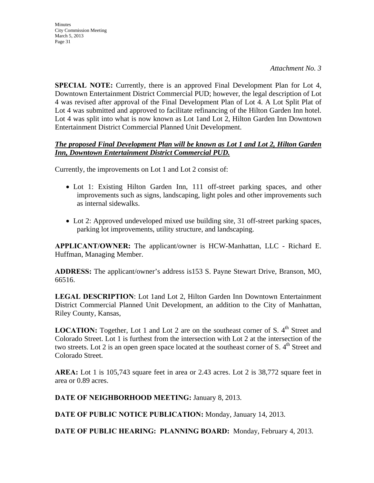**SPECIAL NOTE:** Currently, there is an approved Final Development Plan for Lot 4, Downtown Entertainment District Commercial PUD; however, the legal description of Lot 4 was revised after approval of the Final Development Plan of Lot 4. A Lot Split Plat of Lot 4 was submitted and approved to facilitate refinancing of the Hilton Garden Inn hotel. Lot 4 was split into what is now known as Lot 1and Lot 2, Hilton Garden Inn Downtown Entertainment District Commercial Planned Unit Development.

#### *The proposed Final Development Plan will be known as Lot 1 and Lot 2, Hilton Garden Inn, Downtown Entertainment District Commercial PUD.*

Currently, the improvements on Lot 1 and Lot 2 consist of:

- Lot 1: Existing Hilton Garden Inn, 111 off-street parking spaces, and other improvements such as signs, landscaping, light poles and other improvements such as internal sidewalks.
- Lot 2: Approved undeveloped mixed use building site, 31 off-street parking spaces, parking lot improvements, utility structure, and landscaping.

**APPLICANT/OWNER:** The applicant/owner is HCW-Manhattan, LLC - Richard E. Huffman, Managing Member.

**ADDRESS:** The applicant/owner's address is153 S. Payne Stewart Drive, Branson, MO, 66516.

**LEGAL DESCRIPTION**: Lot 1and Lot 2, Hilton Garden Inn Downtown Entertainment District Commercial Planned Unit Development, an addition to the City of Manhattan, Riley County, Kansas,

**LOCATION:** Together, Lot 1 and Lot 2 are on the southeast corner of S. 4<sup>th</sup> Street and Colorado Street. Lot 1 is furthest from the intersection with Lot 2 at the intersection of the two streets. Lot 2 is an open green space located at the southeast corner of S.  $4<sup>th</sup>$  Street and Colorado Street.

**AREA:** Lot 1 is 105,743 square feet in area or 2.43 acres. Lot 2 is 38,772 square feet in area or 0.89 acres.

**DATE OF NEIGHBORHOOD MEETING:** January 8, 2013.

**DATE OF PUBLIC NOTICE PUBLICATION:** Monday, January 14, 2013.

**DATE OF PUBLIC HEARING: PLANNING BOARD:** Monday, February 4, 2013.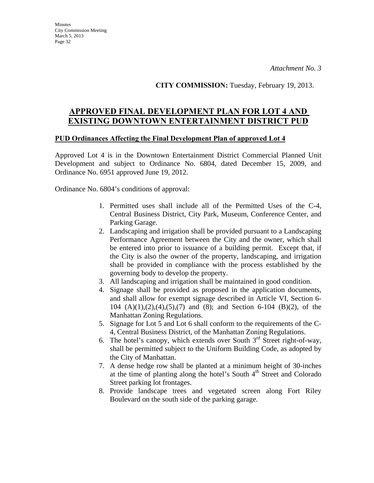**CITY COMMISSION:** Tuesday, February 19, 2013.

# **APPROVED FINAL DEVELOPMENT PLAN FOR LOT 4 AND EXISTING DOWNTOWN ENTERTAINMENT DISTRICT PUD**

#### **PUD Ordinances Affecting the Final Development Plan of approved Lot 4**

Approved Lot 4 is in the Downtown Entertainment District Commercial Planned Unit Development and subject to Ordinance No. 6804, dated December 15, 2009, and Ordinance No. 6951 approved June 19, 2012.

Ordinance No. 6804's conditions of approval:

- 1. Permitted uses shall include all of the Permitted Uses of the C-4, Central Business District, City Park, Museum, Conference Center, and Parking Garage.
- 2. Landscaping and irrigation shall be provided pursuant to a Landscaping Performance Agreement between the City and the owner, which shall be entered into prior to issuance of a building permit. Except that, if the City is also the owner of the property, landscaping, and irrigation shall be provided in compliance with the process established by the governing body to develop the property.
- 3. All landscaping and irrigation shall be maintained in good condition.
- 4. Signage shall be provided as proposed in the application documents, and shall allow for exempt signage described in Article VI, Section 6- 104 (A)(1),(2),(4),(5),(7) and (8); and Section 6-104 (B)(2), of the Manhattan Zoning Regulations.
- 5. Signage for Lot 5 and Lot 6 shall conform to the requirements of the C-4, Central Business District, of the Manhattan Zoning Regulations.
- 6. The hotel's canopy, which extends over South  $3<sup>rd</sup>$  Street right-of-way, shall be permitted subject to the Uniform Building Code, as adopted by the City of Manhattan.
- 7. A dense hedge row shall be planted at a minimum height of 30-inches at the time of planting along the hotel's South 4<sup>th</sup> Street and Colorado Street parking lot frontages.
- 8. Provide landscape trees and vegetated screen along Fort Riley Boulevard on the south side of the parking garage.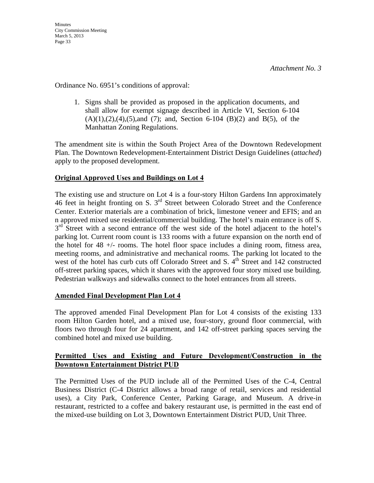Ordinance No. 6951's conditions of approval:

1. Signs shall be provided as proposed in the application documents, and shall allow for exempt signage described in Article VI, Section 6-104  $(A)(1),(2),(4),(5)$ ,and  $(7)$ ; and, Section 6-104  $(B)(2)$  and  $B(5)$ , of the Manhattan Zoning Regulations.

The amendment site is within the South Project Area of the Downtown Redevelopment Plan. The Downtown Redevelopment-Entertainment District Design Guidelines (*attached*) apply to the proposed development.

### **Original Approved Uses and Buildings on Lot 4**

The existing use and structure on Lot 4 is a four-story Hilton Gardens Inn approximately 46 feet in height fronting on S. 3rd Street between Colorado Street and the Conference Center. Exterior materials are a combination of brick, limestone veneer and EFIS; and an n approved mixed use residential/commercial building. The hotel's main entrance is off S.  $3<sup>rd</sup>$  Street with a second entrance off the west side of the hotel adjacent to the hotel's parking lot. Current room count is 133 rooms with a future expansion on the north end of the hotel for 48 +/- rooms. The hotel floor space includes a dining room, fitness area, meeting rooms, and administrative and mechanical rooms. The parking lot located to the west of the hotel has curb cuts off Colorado Street and S.  $4<sup>th</sup>$  Street and 142 constructed off-street parking spaces, which it shares with the approved four story mixed use building. Pedestrian walkways and sidewalks connect to the hotel entrances from all streets.

### **Amended Final Development Plan Lot 4**

The approved amended Final Development Plan for Lot 4 consists of the existing 133 room Hilton Garden hotel, and a mixed use, four-story, ground floor commercial, with floors two through four for 24 apartment, and 142 off-street parking spaces serving the combined hotel and mixed use building.

#### **Permitted Uses and Existing and Future Development/Construction in the Downtown Entertainment District PUD**

The Permitted Uses of the PUD include all of the Permitted Uses of the C-4, Central Business District (C-4 District allows a broad range of retail, services and residential uses), a City Park, Conference Center, Parking Garage, and Museum. A drive-in restaurant, restricted to a coffee and bakery restaurant use, is permitted in the east end of the mixed-use building on Lot 3, Downtown Entertainment District PUD, Unit Three.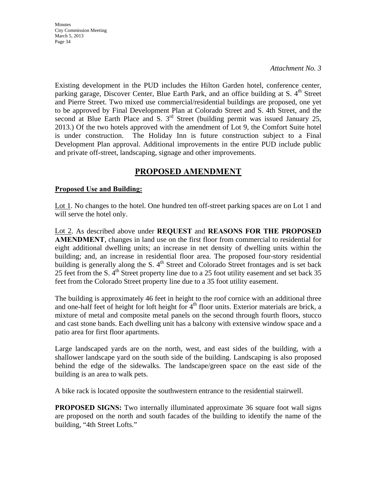*Attachment No. 3* 

Existing development in the PUD includes the Hilton Garden hotel, conference center, parking garage, Discover Center, Blue Earth Park, and an office building at S. 4<sup>th</sup> Street and Pierre Street. Two mixed use commercial/residential buildings are proposed, one yet to be approved by Final Development Plan at Colorado Street and S. 4th Street, and the second at Blue Earth Place and S. 3<sup>rd</sup> Street (building permit was issued January 25, 2013.) Of the two hotels approved with the amendment of Lot 9, the Comfort Suite hotel is under construction. The Holiday Inn is future construction subject to a Final Development Plan approval. Additional improvements in the entire PUD include public and private off-street, landscaping, signage and other improvements.

### **PROPOSED AMENDMENT**

#### **Proposed Use and Building:**

Lot 1. No changes to the hotel. One hundred ten off-street parking spaces are on Lot 1 and will serve the hotel only.

Lot 2. As described above under **REQUEST** and **REASONS FOR THE PROPOSED AMENDMENT**, changes in land use on the first floor from commercial to residential for eight additional dwelling units; an increase in net density of dwelling units within the building; and, an increase in residential floor area. The proposed four-story residential building is generally along the S.  $4<sup>th</sup>$  Street and Colorado Street frontages and is set back 25 feet from the S.  $4<sup>th</sup>$  Street property line due to a 25 foot utility easement and set back 35 feet from the Colorado Street property line due to a 35 foot utility easement.

The building is approximately 46 feet in height to the roof cornice with an additional three and one-half feet of height for loft height for  $4<sup>th</sup>$  floor units. Exterior materials are brick, a mixture of metal and composite metal panels on the second through fourth floors, stucco and cast stone bands. Each dwelling unit has a balcony with extensive window space and a patio area for first floor apartments.

Large landscaped yards are on the north, west, and east sides of the building, with a shallower landscape yard on the south side of the building. Landscaping is also proposed behind the edge of the sidewalks. The landscape/green space on the east side of the building is an area to walk pets.

A bike rack is located opposite the southwestern entrance to the residential stairwell.

**PROPOSED SIGNS:** Two internally illuminated approximate 36 square foot wall signs are proposed on the north and south facades of the building to identify the name of the building, "4th Street Lofts."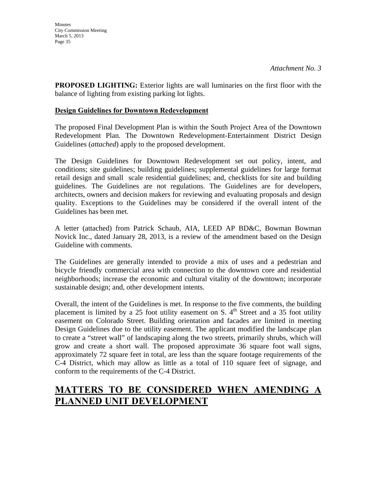**PROPOSED LIGHTING:** Exterior lights are wall luminaries on the first floor with the balance of lighting from existing parking lot lights.

#### **Design Guidelines for Downtown Redevelopment**

The proposed Final Development Plan is within the South Project Area of the Downtown Redevelopment Plan. The Downtown Redevelopment-Entertainment District Design Guidelines (*attached*) apply to the proposed development.

The Design Guidelines for Downtown Redevelopment set out policy, intent, and conditions; site guidelines; building guidelines; supplemental guidelines for large format retail design and small scale residential guidelines; and, checklists for site and building guidelines. The Guidelines are not regulations. The Guidelines are for developers, architects, owners and decision makers for reviewing and evaluating proposals and design quality. Exceptions to the Guidelines may be considered if the overall intent of the Guidelines has been met.

A letter (attached) from Patrick Schaub, AIA, LEED AP BD&C, Bowman Bowman Novick Inc., dated January 28, 2013, is a review of the amendment based on the Design Guideline with comments.

The Guidelines are generally intended to provide a mix of uses and a pedestrian and bicycle friendly commercial area with connection to the downtown core and residential neighborhoods; increase the economic and cultural vitality of the downtown; incorporate sustainable design; and, other development intents.

Overall, the intent of the Guidelines is met. In response to the five comments, the building placement is limited by a 25 foot utility easement on S.  $4<sup>th</sup>$  Street and a 35 foot utility easement on Colorado Street. Building orientation and facades are limited in meeting Design Guidelines due to the utility easement. The applicant modified the landscape plan to create a "street wall" of landscaping along the two streets, primarily shrubs, which will grow and create a short wall. The proposed approximate 36 square foot wall signs, approximately 72 square feet in total, are less than the square footage requirements of the C-4 District, which may allow as little as a total of 110 square feet of signage, and conform to the requirements of the C-4 District.

# **MATTERS TO BE CONSIDERED WHEN AMENDING A PLANNED UNIT DEVELOPMENT**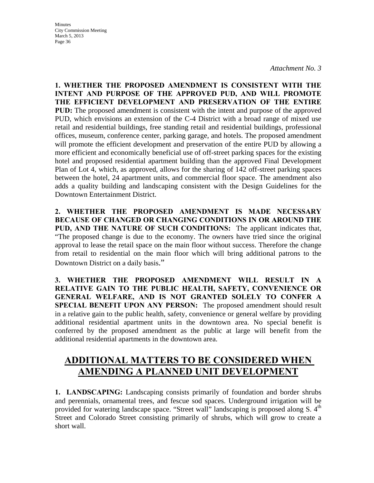*Attachment No. 3* 

**1. WHETHER THE PROPOSED AMENDMENT IS CONSISTENT WITH THE INTENT AND PURPOSE OF THE APPROVED PUD, AND WILL PROMOTE THE EFFICIENT DEVELOPMENT AND PRESERVATION OF THE ENTIRE PUD:** The proposed amendment is consistent with the intent and purpose of the approved PUD, which envisions an extension of the C-4 District with a broad range of mixed use retail and residential buildings, free standing retail and residential buildings, professional offices, museum, conference center, parking garage, and hotels. The proposed amendment will promote the efficient development and preservation of the entire PUD by allowing a more efficient and economically beneficial use of off-street parking spaces for the existing hotel and proposed residential apartment building than the approved Final Development Plan of Lot 4, which, as approved, allows for the sharing of 142 off-street parking spaces between the hotel, 24 apartment units, and commercial floor space. The amendment also adds a quality building and landscaping consistent with the Design Guidelines for the Downtown Entertainment District.

**2. WHETHER THE PROPOSED AMENDMENT IS MADE NECESSARY BECAUSE OF CHANGED OR CHANGING CONDITIONS IN OR AROUND THE PUD, AND THE NATURE OF SUCH CONDITIONS:** The applicant indicates that, "The proposed change is due to the economy. The owners have tried since the original approval to lease the retail space on the main floor without success. Therefore the change from retail to residential on the main floor which will bring additional patrons to the Downtown District on a daily basis."

**3. WHETHER THE PROPOSED AMENDMENT WILL RESULT IN A RELATIVE GAIN TO THE PUBLIC HEALTH, SAFETY, CONVENIENCE OR GENERAL WELFARE, AND IS NOT GRANTED SOLELY TO CONFER A SPECIAL BENEFIT UPON ANY PERSON:** The proposed amendment should result in a relative gain to the public health, safety, convenience or general welfare by providing additional residential apartment units in the downtown area. No special benefit is conferred by the proposed amendment as the public at large will benefit from the additional residential apartments in the downtown area.

# **ADDITIONAL MATTERS TO BE CONSIDERED WHEN AMENDING A PLANNED UNIT DEVELOPMENT**

**1. LANDSCAPING:** Landscaping consists primarily of foundation and border shrubs and perennials, ornamental trees, and fescue sod spaces. Underground irrigation will be provided for watering landscape space. "Street wall" landscaping is proposed along S. 4<sup>th</sup> Street and Colorado Street consisting primarily of shrubs, which will grow to create a short wall.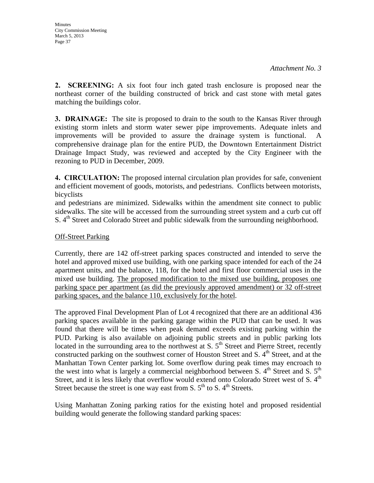**2. SCREENING:** A six foot four inch gated trash enclosure is proposed near the northeast corner of the building constructed of brick and cast stone with metal gates matching the buildings color.

**3. DRAINAGE:** The site is proposed to drain to the south to the Kansas River through existing storm inlets and storm water sewer pipe improvements. Adequate inlets and improvements will be provided to assure the drainage system is functional. A comprehensive drainage plan for the entire PUD, the Downtown Entertainment District Drainage Impact Study, was reviewed and accepted by the City Engineer with the rezoning to PUD in December, 2009.

**4. CIRCULATION:** The proposed internal circulation plan provides for safe, convenient and efficient movement of goods, motorists, and pedestrians. Conflicts between motorists, bicyclists

and pedestrians are minimized. Sidewalks within the amendment site connect to public sidewalks. The site will be accessed from the surrounding street system and a curb cut off S. 4<sup>th</sup> Street and Colorado Street and public sidewalk from the surrounding neighborhood.

#### Off-Street Parking

Currently, there are 142 off-street parking spaces constructed and intended to serve the hotel and approved mixed use building, with one parking space intended for each of the 24 apartment units, and the balance, 118, for the hotel and first floor commercial uses in the mixed use building. The proposed modification to the mixed use building, proposes one parking space per apartment (as did the previously approved amendment) or 32 off-street parking spaces, and the balance 110, exclusively for the hotel.

The approved Final Development Plan of Lot 4 recognized that there are an additional 436 parking spaces available in the parking garage within the PUD that can be used. It was found that there will be times when peak demand exceeds existing parking within the PUD. Parking is also available on adjoining public streets and in public parking lots located in the surrounding area to the northwest at S,  $5<sup>th</sup>$  Street and Pierre Street, recently constructed parking on the southwest corner of Houston Street and S.  $4<sup>th</sup>$  Street, and at the Manhattan Town Center parking lot. Some overflow during peak times may encroach to the west into what is largely a commercial neighborhood between S.  $4<sup>th</sup>$  Street and S.  $5<sup>th</sup>$ Street, and it is less likely that overflow would extend onto Colorado Street west of S.  $4<sup>th</sup>$ Street because the street is one way east from S.  $5<sup>th</sup>$  to S.  $4<sup>th</sup>$  Streets.

Using Manhattan Zoning parking ratios for the existing hotel and proposed residential building would generate the following standard parking spaces: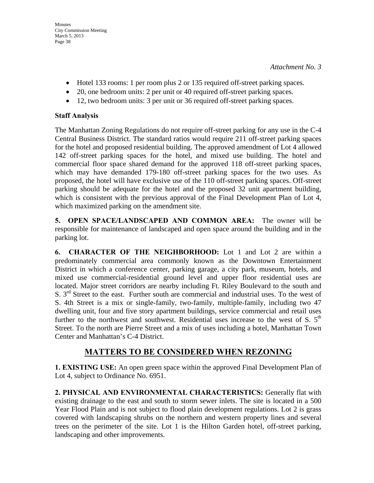- Hotel 133 rooms: 1 per room plus 2 or 135 required off-street parking spaces.
- 20, one bedroom units: 2 per unit or 40 required off-street parking spaces.
- 12, two bedroom units: 3 per unit or 36 required off-street parking spaces.

### **Staff Analysis**

The Manhattan Zoning Regulations do not require off-street parking for any use in the C-4 Central Business District. The standard ratios would require 211 off-street parking spaces for the hotel and proposed residential building. The approved amendment of Lot 4 allowed 142 off-street parking spaces for the hotel, and mixed use building. The hotel and commercial floor space shared demand for the approved 118 off-street parking spaces, which may have demanded 179-180 off-street parking spaces for the two uses. As proposed, the hotel will have exclusive use of the 110 off-street parking spaces. Off-street parking should be adequate for the hotel and the proposed 32 unit apartment building, which is consistent with the previous approval of the Final Development Plan of Lot 4, which maximized parking on the amendment site.

**5. OPEN SPACE/LANDSCAPED AND COMMON AREA:** The owner will be responsible for maintenance of landscaped and open space around the building and in the parking lot.

**6. CHARACTER OF THE NEIGHBORHOOD:** Lot 1 and Lot 2 are within a predominately commercial area commonly known as the Downtown Entertainment District in which a conference center, parking garage, a city park, museum, hotels, and mixed use commercial-residential ground level and upper floor residential uses are located. Major street corridors are nearby including Ft. Riley Boulevard to the south and S.  $3<sup>rd</sup>$  Street to the east. Further south are commercial and industrial uses. To the west of S. 4th Street is a mix or single-family, two-family, multiple-family, including two 47 dwelling unit, four and five story apartment buildings, service commercial and retail uses further to the northwest and southwest. Residential uses increase to the west of S.  $5<sup>th</sup>$ Street. To the north are Pierre Street and a mix of uses including a hotel, Manhattan Town Center and Manhattan's C-4 District.

## **MATTERS TO BE CONSIDERED WHEN REZONING**

**1. EXISTING USE:** An open green space within the approved Final Development Plan of Lot 4, subject to Ordinance No. 6951.

**2. PHYSICAL AND ENVIRONMENTAL CHARACTERISTICS:** Generally flat with existing drainage to the east and south to storm sewer inlets. The site is located in a 500 Year Flood Plain and is not subject to flood plain development regulations. Lot 2 is grass covered with landscaping shrubs on the northern and western property lines and several trees on the perimeter of the site. Lot 1 is the Hilton Garden hotel, off-street parking, landscaping and other improvements.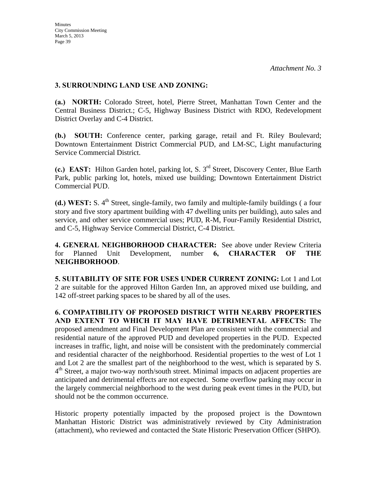#### **3. SURROUNDING LAND USE AND ZONING:**

**(a.) NORTH:** Colorado Street, hotel, Pierre Street, Manhattan Town Center and the Central Business District.; C-5, Highway Business District with RDO, Redevelopment District Overlay and C-4 District.

**(b.) SOUTH:** Conference center, parking garage, retail and Ft. Riley Boulevard; Downtown Entertainment District Commercial PUD, and LM-SC, Light manufacturing Service Commercial District.

**(c.) EAST:** Hilton Garden hotel, parking lot, S. 3rd Street, Discovery Center, Blue Earth Park, public parking lot, hotels, mixed use building; Downtown Entertainment District Commercial PUD.

**(d.) WEST:** S. 4<sup>th</sup> Street, single-family, two family and multiple-family buildings (a four story and five story apartment building with 47 dwelling units per building), auto sales and service, and other service commercial uses; PUD, R-M, Four-Family Residential District, and C-5, Highway Service Commercial District, C-4 District.

**4. GENERAL NEIGHBORHOOD CHARACTER:** See above under Review Criteria for Planned Unit Development, number **6, CHARACTER OF THE NEIGHBORHOOD**.

**5. SUITABILITY OF SITE FOR USES UNDER CURRENT ZONING:** Lot 1 and Lot 2 are suitable for the approved Hilton Garden Inn, an approved mixed use building, and 142 off-street parking spaces to be shared by all of the uses.

**6. COMPATIBILITY OF PROPOSED DISTRICT WITH NEARBY PROPERTIES AND EXTENT TO WHICH IT MAY HAVE DETRIMENTAL AFFECTS:** The proposed amendment and Final Development Plan are consistent with the commercial and residential nature of the approved PUD and developed properties in the PUD. Expected increases in traffic, light, and noise will be consistent with the predominately commercial and residential character of the neighborhood. Residential properties to the west of Lot 1 and Lot 2 are the smallest part of the neighborhood to the west, which is separated by S.  $4<sup>th</sup>$  Street, a major two-way north/south street. Minimal impacts on adjacent properties are anticipated and detrimental effects are not expected. Some overflow parking may occur in the largely commercial neighborhood to the west during peak event times in the PUD, but should not be the common occurrence.

Historic property potentially impacted by the proposed project is the Downtown Manhattan Historic District was administratively reviewed by City Administration (attachment), who reviewed and contacted the State Historic Preservation Officer (SHPO).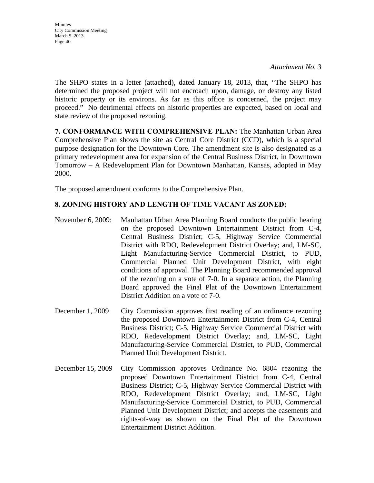The SHPO states in a letter (attached), dated January 18, 2013, that, "The SHPO has determined the proposed project will not encroach upon, damage, or destroy any listed historic property or its environs. As far as this office is concerned, the project may proceed." No detrimental effects on historic properties are expected, based on local and state review of the proposed rezoning.

**7. CONFORMANCE WITH COMPREHENSIVE PLAN:** The Manhattan Urban Area Comprehensive Plan shows the site as Central Core District (CCD), which is a special purpose designation for the Downtown Core. The amendment site is also designated as a primary redevelopment area for expansion of the Central Business District, in Downtown Tomorrow – A Redevelopment Plan for Downtown Manhattan, Kansas, adopted in May 2000.

The proposed amendment conforms to the Comprehensive Plan.

### **8. ZONING HISTORY AND LENGTH OF TIME VACANT AS ZONED:**

- November 6, 2009: Manhattan Urban Area Planning Board conducts the public hearing on the proposed Downtown Entertainment District from C-4, Central Business District; C-5, Highway Service Commercial District with RDO, Redevelopment District Overlay; and, LM-SC, Light Manufacturing-Service Commercial District, to PUD, Commercial Planned Unit Development District, with eight conditions of approval. The Planning Board recommended approval of the rezoning on a vote of 7-0. In a separate action, the Planning Board approved the Final Plat of the Downtown Entertainment District Addition on a vote of 7-0.
- December 1, 2009 City Commission approves first reading of an ordinance rezoning the proposed Downtown Entertainment District from C-4, Central Business District; C-5, Highway Service Commercial District with RDO, Redevelopment District Overlay; and, LM-SC, Light Manufacturing-Service Commercial District, to PUD, Commercial Planned Unit Development District.
- December 15, 2009 City Commission approves Ordinance No. 6804 rezoning the proposed Downtown Entertainment District from C-4, Central Business District; C-5, Highway Service Commercial District with RDO, Redevelopment District Overlay; and, LM-SC, Light Manufacturing-Service Commercial District, to PUD, Commercial Planned Unit Development District; and accepts the easements and rights-of-way as shown on the Final Plat of the Downtown Entertainment District Addition.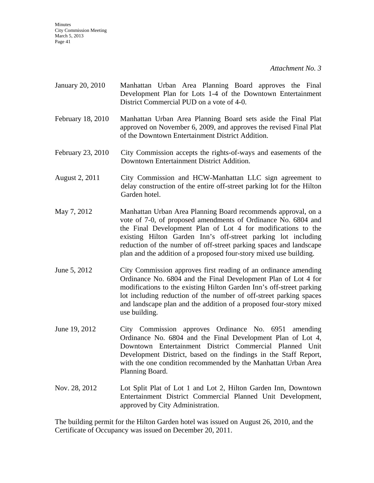*Attachment No. 3* 

- January 20, 2010 Manhattan Urban Area Planning Board approves the Final Development Plan for Lots 1-4 of the Downtown Entertainment District Commercial PUD on a vote of 4-0.
- February 18, 2010 Manhattan Urban Area Planning Board sets aside the Final Plat approved on November 6, 2009, and approves the revised Final Plat of the Downtown Entertainment District Addition.
- February 23, 2010 City Commission accepts the rights-of-ways and easements of the Downtown Entertainment District Addition.
- August 2, 2011 City Commission and HCW-Manhattan LLC sign agreement to delay construction of the entire off-street parking lot for the Hilton Garden hotel.
- May 7, 2012 Manhattan Urban Area Planning Board recommends approval, on a vote of 7-0, of proposed amendments of Ordinance No. 6804 and the Final Development Plan of Lot 4 for modifications to the existing Hilton Garden Inn's off-street parking lot including reduction of the number of off-street parking spaces and landscape plan and the addition of a proposed four-story mixed use building.
- June 5, 2012 City Commission approves first reading of an ordinance amending Ordinance No. 6804 and the Final Development Plan of Lot 4 for modifications to the existing Hilton Garden Inn's off-street parking lot including reduction of the number of off-street parking spaces and landscape plan and the addition of a proposed four-story mixed use building.
- June 19, 2012 City Commission approves Ordinance No. 6951 amending Ordinance No. 6804 and the Final Development Plan of Lot 4, Downtown Entertainment District Commercial Planned Unit Development District, based on the findings in the Staff Report, with the one condition recommended by the Manhattan Urban Area Planning Board.
- Nov. 28, 2012 Lot Split Plat of Lot 1 and Lot 2, Hilton Garden Inn, Downtown Entertainment District Commercial Planned Unit Development, approved by City Administration.

The building permit for the Hilton Garden hotel was issued on August 26, 2010, and the Certificate of Occupancy was issued on December 20, 2011.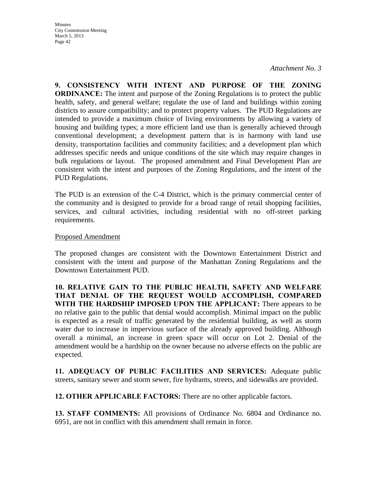*Attachment No. 3* 

**9. CONSISTENCY WITH INTENT AND PURPOSE OF THE ZONING ORDINANCE:** The intent and purpose of the Zoning Regulations is to protect the public health, safety, and general welfare; regulate the use of land and buildings within zoning districts to assure compatibility; and to protect property values. The PUD Regulations are intended to provide a maximum choice of living environments by allowing a variety of housing and building types; a more efficient land use than is generally achieved through conventional development; a development pattern that is in harmony with land use density, transportation facilities and community facilities; and a development plan which addresses specific needs and unique conditions of the site which may require changes in bulk regulations or layout. The proposed amendment and Final Development Plan are consistent with the intent and purposes of the Zoning Regulations, and the intent of the PUD Regulations.

The PUD is an extension of the C-4 District, which is the primary commercial center of the community and is designed to provide for a broad range of retail shopping facilities, services, and cultural activities, including residential with no off-street parking requirements.

#### Proposed Amendment

The proposed changes are consistent with the Downtown Entertainment District and consistent with the intent and purpose of the Manhattan Zoning Regulations and the Downtown Entertainment PUD.

**10. RELATIVE GAIN TO THE PUBLIC HEALTH, SAFETY AND WELFARE THAT DENIAL OF THE REQUEST WOULD ACCOMPLISH, COMPARED WITH THE HARDSHIP IMPOSED UPON THE APPLICANT:** There appears to be no relative gain to the public that denial would accomplish. Minimal impact on the public is expected as a result of traffic generated by the residential building, as well as storm water due to increase in impervious surface of the already approved building. Although overall a minimal, an increase in green space will occur on Lot 2. Denial of the amendment would be a hardship on the owner because no adverse effects on the public are expected.

**11. ADEQUACY OF PUBLIC FACILITIES AND SERVICES:** Adequate public streets, sanitary sewer and storm sewer, fire hydrants, streets, and sidewalks are provided.

**12. OTHER APPLICABLE FACTORS:** There are no other applicable factors.

**13. STAFF COMMENTS:** All provisions of Ordinance No. 6804 and Ordinance no. 6951, are not in conflict with this amendment shall remain in force.